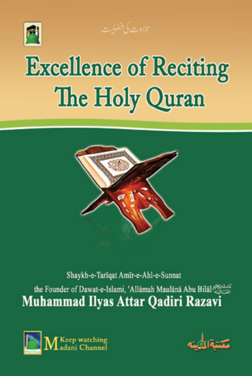





### Shaykh-e-Tarīqat Amīr-e-Ahl-e-Sunnat

the Founder of Dawat-e-Islami, 'Allāmah Maulānā Abu Bilāl **Muhammad Ilyas Attar Qadiri Razavi** 



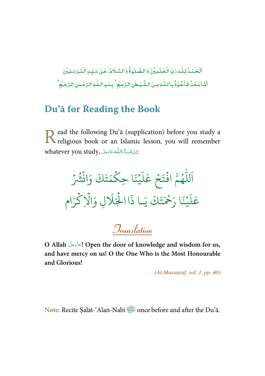-ٱلْۡحَمۡدُۢ لِكَٰذِ رَبِّ الۡخُلَـدِيۡنَ وَ الصَّـٰلُوةُۚ وَ السَّـلَامُ عَـٰلِ سَيِّـِٰ الۡمُّرۡسَلِيۡنَ ֺ֧֦֧֦֧֦֧֦֧֦֧֦֧֦֧֜ ٰ ; ់ ٰ ---់ ֧֧<sup>֓</sup>֓ أَشَا بَعُدُّ فَأَعُوْذُ بِأَللّٰهِ مِنَ الشَّيْطُنِ الزَّجِيْمِ ۖ بِسْمِ اللّٰهِ الزَّحْلنِ الزَّحِيُّمِ -ۡ -֧֦֘ -ٰ ٰ ۡ ٰ ֧֘ ۡ

### **Du'ā for Reading the Book**

ead the following Du'ā (supplication) before you study a Read the following Du'ã (supplication) before you study a religious book or an Islamic lesson, you will remember whatever you study, الله عَزَّدَجَلَّ  $\mathbb{E}$ ī ì í

- لل ر<br>آ اَللّٰهُمَّ افۡتَحۡ و<br>ھ  $\ddot{\cdot}$ ۡ  $\frac{1}{2}$ تَحْ ر<br>آ ل  $\tilde{\epsilon}$ عَلَيْنَا حِ نَا حِكْمَتَ  $\frac{1}{2}$  $\frac{1}{2}$ ت ر<br>ھ حَتَكَ وَانْشُرْ  $\ddot{\cdot}$  $\ddot{\phantom{0}}$ و<br>په ر<br>آ ل  $\tilde{\epsilon}$ عَليْ  $\frac{1}{2}$ ِ<br>چ نڪر<br>-َ َا ر ن  $\frac{1}{2}$ .<br>تَكَ يَـ يـَـا ذا ا ذَا الْجَلَالِ وَالَا ہ<br>ار ہ<br>1 ر<br>آ لَالٍ وَالْإِكْرَام ہ<br>ح

**Translation**

**O Allah ! Open the door of knowledge and wisdom for us,**  í í **and have mercy on us! O the One Who is the Most Honourable and Glorious!** 

 $(Al-Mustatraf, vol. I, pp. 40)$ 

**Note:** Recite Ṣalāt-'Alan-Nabī once before and after the Du'ā.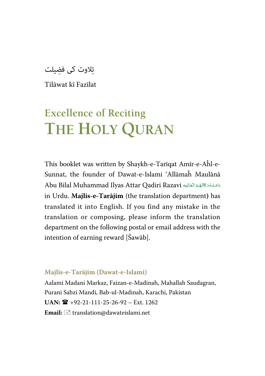تلاوت کی فضلت

Tilāwat kī Fazīlat

# **Excellence of Reciting THE HOLY QURAN**

This booklet was written by Shaykh-e-Tarīqat Amīr-e-Aĥl-e-Sunnat, the founder of Dawat-e-Islami 'Allāmaĥ Maulānā Abu Bilal Muhammad Ilyas Attar Qadiri Razavi دَامَتْ بَرَكَاتُهُمُ الْتَكَايِهِ í í ź í í í í í in Urdu. **Majlis-e-Tarājim** (the translation department**)** has translated it into English. If you find any mistake in the translation or composing, please inform the translation department on the following postal or email address with the intention of earning reward [Šawāb].

#### **Majlis-e-Tarājim (Dawat-e-Islami)**

Aalami Madani Markaz, Faizan-e-Madinah, Mahallah Saudagran, Purani Sabzi Mandi, Bab-ul-Madinah, Karachi, Pakistan  $UAN: \mathbf{R}$  +92-21-111-25-26-92 – Ext. 1262 Email:  $\equiv$  translation@dawateislami.net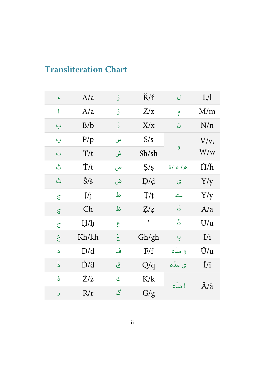### <span id="page-3-0"></span>**Transliteration Chart**

| ء | A/a                   | ڑ | Ř/ř               | ل               | L/1                         |
|---|-----------------------|---|-------------------|-----------------|-----------------------------|
| 1 | A/a                   | ز | Z/z               | ۴               | M/m                         |
| ب | B/b                   | ڙ | X/x               | ن               | N/n                         |
| پ | P/p                   | س | S/s               |                 | $V/v$ ,                     |
| ت | T/t                   | ش | Sh/sh             | و               | $\mathrm{W}/\mathrm{w}$     |
| ٹ | Τ/t                   | ص | S/s               | ه/ه/ة           | $\hat{H}/\hat{h}$           |
| ٿ | $\check{S}/\check{s}$ | ض | D/d               | ى               | Y/y                         |
| ج | J/j                   | ط | T/t               | ے               | Y/y                         |
| ڇ | Ch                    | ظ | Z/z               | $\tilde{\circ}$ | A/a                         |
| ح | H/h                   | ع | $\pmb{\varsigma}$ | ំ               | U/u                         |
| خ | Kh/kh                 | غ | Gh/gh             | 9               | I/i                         |
| د | D/d                   | ف | F/f               | و مدّه          | Ū/ū                         |
| ڈ | $\dot{D}/d$           | ق | Q/q               | ی مدّہ          | $\overline{l}/\overline{l}$ |
| ś | Ż/ż                   | ك | K/k               | ا مدّه          | Ā/ā                         |
| ر | R/r                   | گ | G/g               |                 |                             |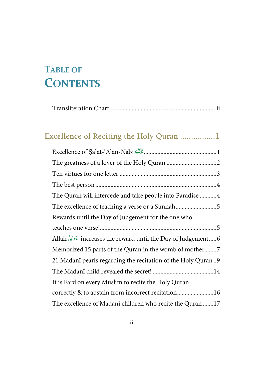# <span id="page-4-0"></span>TABLE OF **CONTENTS**

| Excellence of Reciting the Holy Quran 1                          |
|------------------------------------------------------------------|
| Excellence of Salāt-'Alan-Nabī                                   |
|                                                                  |
|                                                                  |
|                                                                  |
| The Quran will intercede and take people into Paradise 4         |
| The excellence of teaching a verse or a Sunnah5                  |
| Rewards until the Day of Judgement for the one who               |
|                                                                  |
| Allah رَبَّجَلَ increases the reward until the Day of Judgement6 |
| Memorized 15 parts of the Quran in the womb of mother7           |
| 21 Madani pearls regarding the recitation of the Holy Quran9     |
|                                                                  |
| It is Fard on every Muslim to recite the Holy Quran              |
| correctly & to abstain from incorrect recitation16               |
| The excellence of Madani children who recite the Quran 17        |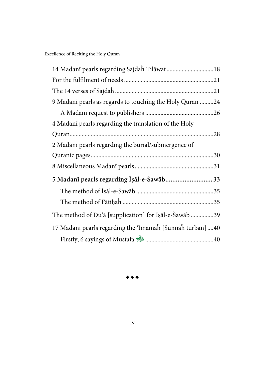| 9 Madanī pearls as regards to touching the Holy Quran 24  |
|-----------------------------------------------------------|
|                                                           |
| 4 Madanī pearls regarding the translation of the Holy     |
|                                                           |
| 2 Madanī pearls regarding the burial/submergence of       |
|                                                           |
|                                                           |
| 5 Madanī pearls regarding Īṣāl-e-Šawāb 33                 |
|                                                           |
|                                                           |
| The method of Du'ā [supplication] for Isal-e-Sawab 39     |
| 17 Madanī pearls regarding the 'Imāmah [Sunnah turban] 40 |
|                                                           |

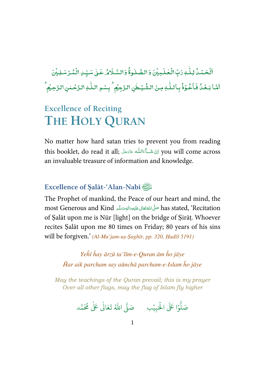<span id="page-6-0"></span>-ٱلۡ*ڂ*ۡمُاۡ لِلّٰہِ رَبِّ ់ ٰ دَبِّ الْعٰلَمِيْنَ وَالصَّلٰوةُ وَالسَّلَامُ عَلٰى سَيِّدِ الْمُرْسَلِيْنَ ؚ<br>: ֘ ٰ ---֘ ֘ أَمَّا بَـعَٰدُٰ فَأَعُوْذُ - $\overline{a}$ -֦֧֦ - $\ddot{\cdot}$ فَأَعُوَٰذُ بِأَللّٰهِ مِنَ الشَّيۡطٰنِ ٰ ٰ الشَّيْطٰنِ الزَّجِيۡمُ ۗ بِسۡوِ اللَّٰٰٓٓ الزَّحۡـٰمٰنِ الزَّحِيۡمُ ; ٰ ؚ<br>؛ ,

## **Excellence of Reciting THE HOLY QURAN**

No matter how hard satan tries to prevent you from reading this booklet, do read it all;   
 you will come across í í í í an invaluable treasure of information and knowledge.

#### **Excellence of** Ṣ**alāt-'Alan-Nabī**

The Prophet of mankind, the Peace of our heart and mind, the most Generous and Kind حَلَّىَاللَّهُ تَعَالى عَلَيْهِ وَالْبِمَرْسَلَّا مِلْلَهُ most Generous and Kind í í í ć í í of Ṣalāt upon me is Nūr [light] on the bridge of Ṣirāṭ. Whoever recites Ṣalāt upon me 80 times on Friday; 80 years of his sins will be forgiven.' (Al-Mu'jam-uṣ-Ṣaghīr, pp. 320, Ḥadīš 5191)

> Yeĥī ĥay ārzū ta'līm-e-Quran ām ĥo jāye Ĥar aik parcham say aūnchā parcham-e-Islam ĥo jāye

May the teachings of the Quran prevail; this is my prayer Over all other flags, may the flag of Islam fly higher

.<br>وا عَلَى الْح ر<br>أ و<br>ا صَلُّوۡا عَلَى الْحَبِيۡبِ ۚ صَلَّى اللّٰهُ ֘ صَلَّى اللهُ تَعَالٰى عَلٰى مُحَمَّد ٰ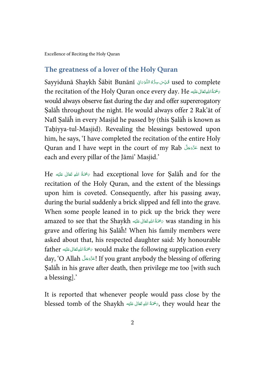#### <span id="page-7-0"></span>**The greatness of a lover of the Holy Quran**

Sayyidunā Shaykh Šābit Bunānī ڤَايِّسَ سِرُّهُ التُّوْمَانِي Sayyidunā Shaykh Šābit Bunānī į ć í ֺ֧<sup>֟</sup> the recitation of the Holy Quran once every day. He تَسْجَنَةُاللَّهِ تَعَالَى عَلَيْهِ í í í would always observe fast during the day and offer supererogatory Salāĥ throughout the night. He would always offer 2 Rak'āt of Nafl Ṣalāĥ in every Masjid he passed by (this Ṣalāĥ is known as Tahiyya-tul-Masjid). Revealing the blessings bestowed upon him, he says, 'I have completed the recitation of the entire Holy Quran and I have wept in the court of my Rab عَنَّوَجَلَّ next to ś í each and every pillar of the Jāmi' Masjid.'

He كَمْتُ اللهِ تَعَالَى عَلَيْهِ Had exceptional love for Salāĥ and for the í í í recitation of the Holy Quran, and the extent of the blessings upon him is coveted. Consequently, after his passing away, during the burial suddenly a brick slipped and fell into the grave. When some people leaned in to pick up the brick they were amazed to see that the Shaykh ٱلصَّقَالى عَلَيْهِ amazed to see that the Shaykh í í í grave and offering his Ṣalāĥ! When his family members were asked about that, his respected daughter said: My honourable father ٱللَّهِ تَعَانَى عَلَيْهِ father  $\epsilon$  would make the following supplication every í í í day, 'O Allah ! If you grant anybody the blessing of offering í í Ṣalāĥ in his grave after death, then privilege me too [with such a blessing].'

It is reported that whenever people would pass close by the blessed tomb of the Shaykh حَمَّةُ اللهِ تَعَالَى عَلَيْهِ  $\epsilon$ , they would hear the í í í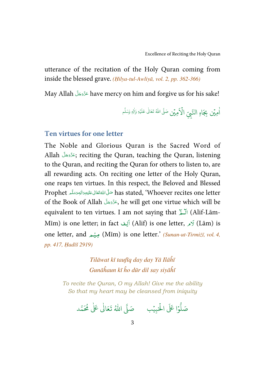<span id="page-8-0"></span>utterance of the recitation of the Holy Quran coming from inside the blessed grave. (Ḥilya-tul-Awliyā, vol. 2, pp. 362-366)

May Allah have mercy on him and forgive us for his sake! Á í

> اٰمِيۡن بِجَاهِ النَّبِيِّ  $\hat{\mathbf{d}}$ الْأَهِيْنِ صَلَّى اللهُ تَعَالٰى عَلَيْهِ وَأَلِهٖ وَسَلَّم ٰ ۡ ٰ

#### **Ten virtues for one letter**

The Noble and Glorious Quran is the Sacred Word of Allah ; reciting the Quran, teaching the Quran, listening í í to the Quran, and reciting the Quran for others to listen to, are all rewarding acts. On reciting one letter of the Holy Quran, one reaps ten virtues. In this respect, the Beloved and Blessed Prophet حَلَّىَ اللَّهُ تَعَالَى عَلَيْهِ وَاللهِ وَسَلَّم Prophet í ć í í í í of the Book of Allah , he will get one virtue which will be ś í equivalent to ten virtues. I am not saying that ٱللَّـمَّ (Alif-Lām-ة<br>م Mīm) is one letter; in fact اَلَفَ) (Alif) is one letter,  $\sqrt{Lam}$  is one letter, and مِينِهِ (Mīm) is one letter.' *(Sunan-ut-Tirmiżī, vol. 4,* pp. 417, Ḥadīš 2919)

> Tilāwat kī taufīq day day Yā Ilāĥī Gunāĥaun kī ĥo dūr dil say siyāĥī

To recite the Quran, O my Allah! Give me the ability So that my heart may be cleansed from iniquity

.<br>وا عَلَى الْح ہ<br>ا و<br>ا صَلُّوۡا عَلَى الْحَبِيۡبِ ۚ صَلَّى اللّٰهُ ֘ صَلَّى اللّٰهُ تَعَالٰى عَلٰى مُحَمَّد ٰ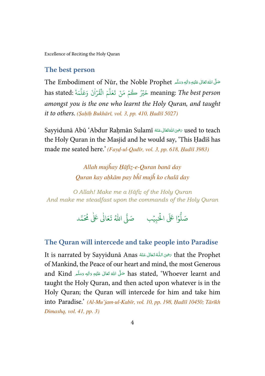#### <span id="page-9-0"></span>**The best person**

تَكَلَّ اللَّهُ تَعَانَى عَلَيْهِ وَالِهِ وَسَلَّم The Embodiment of Nūr, the Noble Prophet í í í í í ć has stated: خَيْرُ كُمْ مَنْ تَعَلَّمَ الْقُرْاٰنَ وَعَلَّمَهُ .has stated ֘ :<br>: ہ<br>آ ُ ֺ<u>֓</u> amongst you is the one who learnt the Holy Quran, and taught it to others. (Saḥīḥ Bukhārī, vol. 3, pp. 410, Ḥadīš 5027)

Sayyidunā Abū 'Abdur Raḥmān Sulamī حَيْمَاللَّهُ تَعَالَى عَنْهُ gidunā Abū 'Abdur Raḥmān Sulamī í ć í ŕ the Holy Quran in the Masjid and he would say, 'This Ḥadīš has made me seated here.' (Fayḍ-ul-Qadīr, vol. 3, pp. 618, Ḥadīš 3983)

> Allah mujĥay Ḥāfiẓ-e-Quran banā day Quran kay aḥkām pay bĥī mujĥ ko chalā day

O Allah! Make me a Ḥāfiẓ of the Holy Quran And make me steadfast upon the commands of the Holy Quran

> .<br>وا عَلَى الْحَ ہ<br>ا و<br>ا صَلُّوۡا عَلَى الْحَبِيۡبِ ۚ صَلَّى اللّٰهُ ֘ صَلَّى اللّٰهُ تَعَالٰى عَلٰى مُحَمَّد ٰ

#### **The Quran will intercede and take people into Paradise**

It is narrated by Sayyidunā Anas رَضِى اللَّهُ تَعَالَى عَنْهُ Anas أَسْتِينَ that the Prophet í í í ć í í of Mankind, the Peace of our heart and mind, the most Generous and Kind حَلَّى اللهُ تَعَانِى عَلَيْهِ وَالِهٖ وَسَلَّم and Kind í í í ć í í taught the Holy Quran, and then acted upon whatever is in the Holy Quran; the Quran will intercede for him and take him into Paradise.' (Al-Mu'jam-ul-Kabīr, vol. 10, pp. 198, Ḥadīš 10450; Tārīkh Dimashq, vol. 41, pp. 3)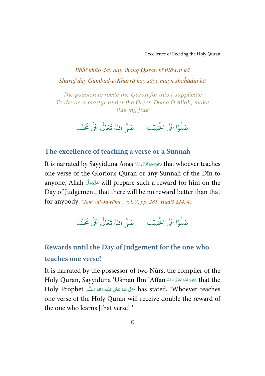<span id="page-10-0"></span>Ilāĥī khūb day day shauq Quran kī tilāwat kā Sharaf day Gumbad-e-Khazrā kay sāye mayn shaĥādat kā

The passion to recite the Quran for this I supplicate To die as a martyr under the Green Dome O Allah, make this my fate

> .<br>وا عَلَى الْح ر<br>أ و<br>أ صَلُّوۡا عَلَى الْحَبِيۡبِ ۚ صَلَّى اللّٰهُ ֘ صَلَّى اللهُ تَعَالٰى عَلٰى مُحَمَّد ٰ

#### **The excellence of teaching a verse or a Sunnaĥ**

It is narrated by Sayyidunā Anas سَرْحَاللهَ عَنْهُ Sayyidunā Anas مَرْحَى اللَّهُ آتَنَا لِسَمَاءَ It is narrated by Sayyidunā Anas í ć í í one verse of the Glorious Quran or any Sunnaĥ of the Dīn to anyone, Allah will prepare such a reward for him on the ś í Day of Judgement, that there will be no reward better than that for anybody. (Jam'-ul-Jawāmi', vol. 7, pp. 281, Ḥadīš 22454)

> .<br>وا عَلَى الْح ہ<br>ا و<br>ا صَلُّوۡا عَلَى الْحَبِيۡبِ ۚ صَلَّى اللّٰهُ ֘ صَلَّى اللّٰهُ تَعَالٰى عَلٰى مُحَمَّد ٰ

### **Rewards until the Day of Judgement for the one who teaches one verse!**

It is narrated by the possessor of two Nūrs, the compiler of the Holy Quran, Sayyidunā 'Ušmān Ibn 'Affān سَرْحَىَ اللَّهُ تَعَالَى عَنْهُ Holy Quran, Sayyidunā 'Ušmān Ibn í ć í í Holy Prophet حَلَّ اللهُ تَعَالَى عَلَيْهِ وَالِهِ وَسَلَّمَ Holy Prophet í í í í í ć one verse of the Holy Quran will receive double the reward of the one who learns [that verse].'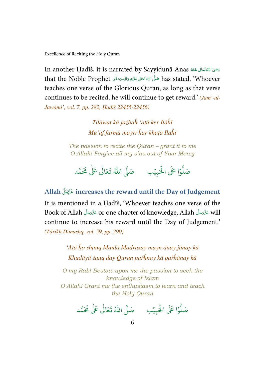<span id="page-11-0"></span>In another Ḥadīš, it is narrated by Sayyidunā Anas سَرْحَىَ اللَّهَ تَعَالَى عَنْهُ In í ć í ć that the Noble Prophet حَلَّى اللَّهُ تَعَالَى عَلَيْهِ وَالِهِ وَسَلَّمَ that the Noble Prophet í í ź í í í teaches one verse of the Glorious Quran, as long as that verse continues to be recited, he will continue to get reward.' (Jam'-ul-Jawāmi', vol. 7, pp. 282, Ḥadīš 22455-22456)

> Tilāwat kā jażbaĥ 'aṭā ker Ilāĥī Mu'āf farmā mayrī ĥar khaṭā Ilāĥī

The passion to recite the Quran – grant it to me O Allah! Forgive all my sins out of Your Mercy

.<br>وْا عَلَى الْحَ ہ<br>آ و<br>1 و<br>صَلَّ صَلُّوۡا عَلَى الْحَبِيۡبِ ۚ صَلَّى اللّٰهُ  $\overline{\phantom{a}}$ صَلَّى اللّٰهُ تَعَالٰى عَلٰى مُحَمَّد ٰ

**Allah increases the reward until the Day of Judgement** 

It is mentioned in a Ḥadīš, 'Whoever teaches one verse of the Book of Allah عَزَّدَمَكَّ or one chapter of knowledge, Allah عَزَّدَمَكَ will í í ś í continue to increase his reward until the Day of Judgement.' (Tārīkh Dimashq, vol. 59, pp. 290)

> 'Aṭā ĥo shauq Maulā Madrasay mayn ānay jānay kā Khudāyā żauq day Quran pařĥnay kā pařĥānay kā

O my Rab! Bestow upon me the passion to seek the knowledge of Islam O Allah! Grant me the enthusiasm to learn and teach the Holy Quran

.<br>وا عَلَى الْح ر<br>أ و<br>ا صَلُّوۡا عَلَى الْحَبِيۡبِ ۚ صَلَّى اللّٰهُ ֘ صَلَّى اللهُ تَعَالٰى عَلٰى مُحَمَّد ٰ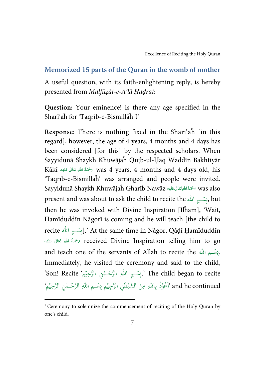#### <span id="page-12-0"></span>**Memorized 15 parts of the Quran in the womb of mother**

A useful question, with its faith-enlightening reply, is hereby presented from Malfūẓāt-e-A'lā Ḥaḍrat:

**Question:** Your eminence! Is there any age specified in the Sharī'aĥ for 'Taqrīb-e-Bismillāĥ<sup>1</sup>?'

**Response:** There is nothing fixed in the Sharī'aĥ [in this regard], however, the age of 4 years, 4 months and 4 days has been considered [for this] by the respected scholars. When Sayyidunā Shaykh Khuwājaĥ Quṭb-ul-Ḥaq Waddīn Bakhtiyār Kākī ﴿  $\bar{\kappa}$ as 4 years, 4 months and 4 days old, his í í í 'Taqrīb-e-Bismillāĥ' was arranged and people were invited. Sayyidunā Shaykh Khuwājaĥ Gharīb Nawāz سَحْمَةُاللهِتَعَالى عَلَيْهِ Sayyidunā Shaykh Khuwājaĥ Gharīb Nawāz í í ś present and was about to ask the child to recite the بِسۡسِمِ اللّٰہ . then he was invoked with Divine Inspiration [Ilĥām], 'Wait, Ḥamīduddīn Nāgorī is coming and he will teach [the child to recite إِيسۡسِمِ اللَّهُ.' At the same time in Nāgor, Qāḍī Ḥamīduddīn -تَحَةُ اللهِ تَعَالَى عَلَيْه $\sigma$  received Divine Inspiration telling him to go í í í and teach one of the servants of Allah to recite the بَيْسَــِمِ الله . Immediately, he visited the ceremony and said to the child, 'Son! Recite ' بِسْـمِ اللَّهِ الرَّحْـمٰنِ الرَّحِيْمِ'. Son! Recite' ֧֘ ٰ ֘֝ and he continued 'أَعُوْذُ بِاللَّهِ مِنَ الشَّيْطْنِ الرَّجِيْمِ بِسْـمِ اللَّهِ الرَّحْـمْنِ الرَّحِيْمِ ؚ<br>ؙ ر<br>م ا ُ ֘ ٰ  $\overline{\phantom{a}}$ ֧֘ ٰ  $\overline{\phantom{a}}$ 

l

<sup>&</sup>lt;sup>1</sup> Ceremony to solemnize the commencement of reciting of the Holy Quran by one's child.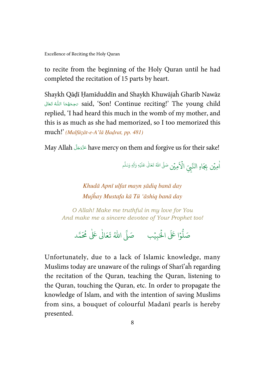to recite from the beginning of the Holy Quran until he had completed the recitation of 15 parts by heart.

Shaykh Qāḍī Ḥamīduddīn and Shaykh Khuwājaĥ Gharīb Nawāz قحِحَقُهَا اللَّهُ تَعَالَى said, 'Son! Continue reciting!' The young child í í í í í replied, 'I had heard this much in the womb of my mother, and this is as much as she had memorized, so I too memorized this much!' (Malfūẓāt-e-A'lā Ḥaḍrat, pp. 481)

May Allah have mercy on them and forgive us for their sake! ś í

> اْمِيۡن بِجَاهِ النَّبِيِّ  $\hat{\mathbf{d}}$ الْإِهِيْنِ صَلَّى اللهُ تَعَالٰى عَلَيْهِ وَأَلِهٖ وَسَلَّم ٰ ۡ ٰ

Khudā Apnī ulfat mayn ṣādiq banā day Mujĥay Mustafa kā Tū 'āshiq banā day

O Allah! Make me truthful in my love for You And make me a sincere devotee of Your Prophet too!



Unfortunately, due to a lack of Islamic knowledge, many Muslims today are unaware of the rulings of Sharī'aĥ regarding the recitation of the Quran, teaching the Quran, listening to the Quran, touching the Quran, etc. In order to propagate the knowledge of Islam, and with the intention of saving Muslims from sins, a bouquet of colourful Madanī pearls is hereby presented.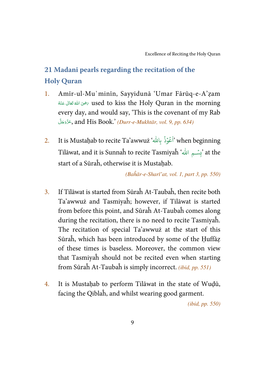### <span id="page-14-0"></span>**21 Madanī pearls regarding the recitation of the Holy Quran**

- 1. Amīr-ul-Mu`minīn, Sayyidunā 'Umar Fārūq-e-A'ẓam ć نضِىَ اللهُ تَعَالَى عَنْهُ  $\sim$  used to kiss the Holy Quran in the morning í ć í í every day, and would say, 'This is the covenant of my Rab جَّزَّوَجَلَّ, and His Book.' *(Durr-e-Mukhtār, vol. 9, pp. 634)* í í
- 2. It is Mustaḥab to recite Ta'awwuż ' ۡ و ع َ ذ ِا. ب ' when beginning ٍ<br>م ا ُ Tilāwat, and it is Sunnaĥ to recite Tasmiyaĥ 'يِسْسِمِ الله' at the start of a Sūraĥ, otherwise it is Mustahab.

(Baĥār-e-Sharī'at, vol. 1, part 3, pp. 550)

- 3. If Tilāwat is started from Sūraĥ At-Taubaĥ, then recite both Ta'awwuż and Tasmiyaĥ; however, if Tilāwat is started from before this point, and Sūraĥ At-Taubaĥ comes along during the recitation, there is no need to recite Tasmiyaĥ. The recitation of special Ta'awwuż at the start of this Sūraĥ, which has been introduced by some of the Ḥuffāẓ of these times is baseless. Moreover, the common view that Tasmiyaĥ should not be recited even when starting from Sūraĥ At-Taubaĥ is simply incorrect. (ibid, pp. 551)
- 4. It is Mustahab to perform Tilāwat in the state of Wudū, facing the Qiblaĥ, and whilst wearing good garment.

(ibid, pp. 550)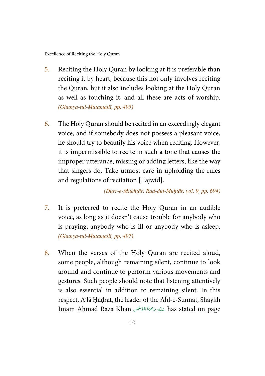- 5. Reciting the Holy Quran by looking at it is preferable than reciting it by heart, because this not only involves reciting the Quran, but it also includes looking at the Holy Quran as well as touching it, and all these are acts of worship. (Ghunya-tul-Mutamallī, pp. 495)
- 6. The Holy Quran should be recited in an exceedingly elegant voice, and if somebody does not possess a pleasant voice, he should try to beautify his voice when reciting. However, it is impermissible to recite in such a tone that causes the improper utterance, missing or adding letters, like the way that singers do. Take utmost care in upholding the rules and regulations of recitation [Tajwīd].

(Durr-e-Mukhtār, Rad-dul-Muḥtār, vol. 9, pp. 694)

- 7. It is preferred to recite the Holy Quran in an audible voice, as long as it doesn't cause trouble for anybody who is praying, anybody who is ill or anybody who is asleep. (Ghunya-tul-Mutamallī, pp. 497)
- 8. When the verses of the Holy Quran are recited aloud, some people, although remaining silent, continue to look around and continue to perform various movements and gestures. Such people should note that listening attentively is also essential in addition to remaining silent. In this respect, A'lā Ḥaḍrat, the leader of the Aĥl-e-Sunnat, Shaykh Imām Aḥmad Razā Khān  7- 2   6 ;&7- has stated on page í j ĺ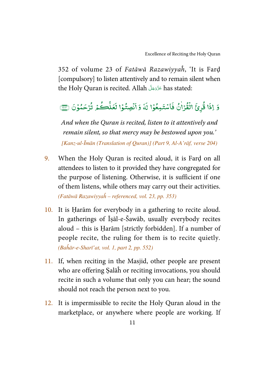352 of volume 23 of Fatāwā Razawiyyaĥ, 'It is Farḍ [compulsory] to listen attentively and to remain silent when the Holy Quran is recited. Allah has stated: ś í

#### وَ إِذَا قُرِئَ الْقُرْأَنُ فَاسْ --ٰ -֘  $\overline{\cdot}$ فَاسْتَمِعُوْا لَهُ ֧֦֘ -:  $\ddot{\cdot}$ لَهُ وَأَنْصِتُوْا لَعَلَّكُمْ ់ ֦֧ --ے<br>آ ۔<br>نَعَلَّ  $\tilde{\mathbf{r}}$ لَعَلَّكُمْ تُرْحَمُوْنَ ۞ ֧֦֘ --

And when the Quran is recited, listen to it attentively and remain silent, so that mercy may be bestowed upon you.' [Kanz-ul-Īmān (Translation of Quran)] (Part 9, Al-A'rāf, verse 204)

- 9. When the Holy Quran is recited aloud, it is Farḍ on all attendees to listen to it provided they have congregated for the purpose of listening. Otherwise, it is sufficient if one of them listens, while others may carry out their activities. (Fatāwā Razawiyyaĥ – referenced, vol. 23, pp. 353)
- 10. It is Ḥarām for everybody in a gathering to recite aloud. In gatherings of Īṣāl-e-Šawāb, usually everybody recites aloud – this is Ḥarām [strictly forbidden]. If a number of people recite, the ruling for them is to recite quietly. (Baĥār-e-Sharī'at, vol. 1, part 2, pp. 552)
- 11. If, when reciting in the Masjid, other people are present who are offering Ṣalāĥ or reciting invocations, you should recite in such a volume that only you can hear; the sound should not reach the person next to you.
- 12. It is impermissible to recite the Holy Quran aloud in the marketplace, or anywhere where people are working. If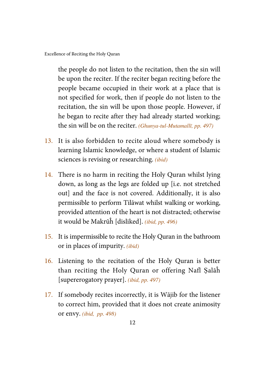the people do not listen to the recitation, then the sin will be upon the reciter. If the reciter began reciting before the people became occupied in their work at a place that is not specified for work, then if people do not listen to the recitation, the sin will be upon those people. However, if he began to recite after they had already started working; the sin will be on the reciter. (Ghunya-tul-Mutamallī, pp. 497)

- 13. It is also forbidden to recite aloud where somebody is learning Islamic knowledge, or where a student of Islamic sciences is revising or researching. *(ibid)*
- 14. There is no harm in reciting the Holy Quran whilst lying down, as long as the legs are folded up [i.e. not stretched out] and the face is not covered. Additionally, it is also permissible to perform Tilāwat whilst walking or working, provided attention of the heart is not distracted; otherwise it would be Makrūĥ [disliked]. (ibid, pp. 496)
- 15. It is impermissible to recite the Holy Quran in the bathroom or in places of impurity. (ibid)
- 16. Listening to the recitation of the Holy Quran is better than reciting the Holy Quran or offering Nafl Ṣalāĥ [supererogatory prayer]. (ibid, pp. 497)
- 17. If somebody recites incorrectly, it is Wājib for the listener to correct him, provided that it does not create animosity or envy. (ibid, pp. 498)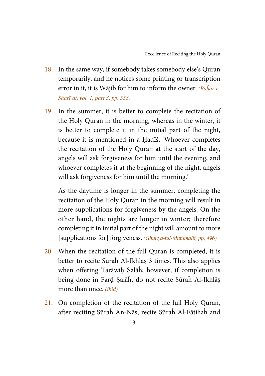- 18. In the same way, if somebody takes somebody else's Quran temporarily, and he notices some printing or transcription error in it, it is Wājib for him to inform the owner. *(Baĥār-e-*Sharī'at, vol. 1, part 3, pp. 553)
- 19. In the summer, it is better to complete the recitation of the Holy Quran in the morning, whereas in the winter, it is better to complete it in the initial part of the night, because it is mentioned in a Ḥadīš, 'Whoever completes the recitation of the Holy Quran at the start of the day, angels will ask forgiveness for him until the evening, and whoever completes it at the beginning of the night, angels will ask forgiveness for him until the morning.'

As the daytime is longer in the summer, completing the recitation of the Holy Quran in the morning will result in more supplications for forgiveness by the angels. On the other hand, the nights are longer in winter; therefore completing it in initial part of the night will amount to more [supplications for] forgiveness. (Ghunya-tul-Mutamallī, pp. 496)

- 20. When the recitation of the full Quran is completed, it is better to recite Sūraĥ Al-Ikhlāṣ 3 times. This also applies when offering Tarāwīḥ Ṣalāĥ; however, if completion is being done in Farḍ Ṣalāĥ, do not recite Sūraĥ Al-Ikhlāṣ more than once. (ibid)
- 21. On completion of the recitation of the full Holy Quran, after reciting Sūraĥ An-Nās, recite Sūraĥ Al-Fātihaĥ and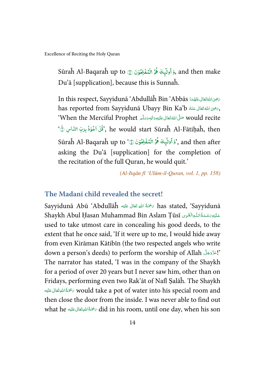<span id="page-19-0"></span>Sūraĥ Al-Baqaraĥ up to رَ َاولَمِيكَ هُمُ الْنُفْلِحُوْنَ ۞ Sūraĥ Al-Baqaraĥ up to ---֧֘ ۡ -֧֧<sup>֓</sup>֧֓ -Du'ā [supplication], because this is Sunnaĥ.

In this respect, Sayyidunā 'Abdullāĥ Bin 'Abbās كَتَبْحَثَانَ عَنْهُمَا In this respect, Sayyidunā 'Abdullāĥ Bin í ć í 5 í í í has reported from Sayyidunā Ubayy Bin Ka'b أَرَّضِي اللَّهُ تَعَانَى عَنْهُ لَمَّا لِلْمَا لِلْمَّاسِيَّةِ لِل í ć í ć When the Merciful Prophet سَلَّىَ اللَّهُ تَعَانَى عَلَيْهِ وَاللهِ وَسَلَّمَ When the Merciful Prophet í í í í í ć ْقُلْ اَخُوْذُ بِرَبِّ النَّاسِ الَّهِ `` he would start Sūraĥ Al-Fātiḥaĥ, then ֘ --֦֧֦ -Sūraĥ Al-Baqaraĥ up to 'وَ أُولَيْهِكَ هُمُ الْمُفْضِّوْنَ ۞ 'sūraĥ Al-Baqaraĥ up to ---֘ ۡ -֧֘ asking the Du'ā [supplication] for the completion of the recitation of the full Quran, he would quit.'

(Al-Itqān fī 'Ulūm-il-Quran, vol. 1, pp. 158)

#### **The Madanī child revealed the secret!**

Sayyidunā Abū 'Abdullāĥ حَمَّةُ اللهِ تَعَالَى عَلَيْهِ has stated, 'Sayyidunā í í í Shaykh Abul Ḥasan Muhammad Bin Aslam Ṭūsī  9 2   :  6  <4   = ۡ í í used to take utmost care in concealing his good deeds, to the extent that he once said, 'If it were up to me, I would hide away from even Kirāman Kātibīn (the two respected angels who write down a person's deeds) to perform the worship of Allah !' í í The narrator has stated, 'I was in the company of the Shaykh for a period of over 20 years but I never saw him, other than on Fridays, performing even two Rak'āt of Nafl Ṣalāĥ. The Shaykh ةَ اللهِتَعَالِ عَلَيْهِ $\sim$  would take a pot of water into his special room and í í í then close the door from the inside. I was never able to find out what he ٱلْمَوْتَعَالَى عَلَيْهِ what he ٱلْمَوْتَعَالَى عَلَيْهِ what he ٱلْمَوْتَعَالَى عَلَيْهِ  $\dim$  his room, until one day, when his son ś í í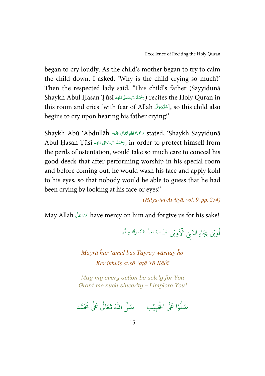began to cry loudly. As the child's mother began to try to calm the child down, I asked, 'Why is the child crying so much?' Then the respected lady said, 'This child's father (Sayyidunā Shaykh Abul Ḥasan Ṭūsī (ﷺاللهيققاني عَليّه السلام السلام) recites the Holy Quran in í í í this room and cries [with fear of Allah ], so this child also ś í begins to cry upon hearing his father crying!'

Shaykh Abū 'Abdullāĥ '  (&  )  6 7- 2 stated, 'Shaykh Sayyidunā í í í Abul Ḥasan Ṭūsī سَحْمَةُ اللهِ تَعَانَى عَلَيْهِ, in order to protect himself from í ś í the perils of ostentation, would take so much care to conceal his good deeds that after performing worship in his special room and before coming out, he would wash his face and apply kohl to his eyes, so that nobody would be able to guess that he had been crying by looking at his face or eyes!'

(Ḥilya-tul-Awliyā, vol. 9, pp. 254)

May Allah have mercy on him and forgive us for his sake! í í

> اْمِيۡن بِجَاهِ النَّبِيِّ  $\hat{\mathbf{v}}$ الْإِهِيْنِ صَلَّى اللهُ تَعَالٰى عَلَيْهِ وَأَلِهٖ وَسَلَّم ٰ ֧֘ ٰ

Mayrā ĥar 'amal bas Tayray wāsitay ĥo Ker ikhlāṣ aysā 'aṭā Yā Ilāĥī

May my every action be solely for You Grant me such sincerity – I implore You!

.<br>وا عَلَى الْح ر<br>أ و<br>أ صَلُّوۡا عَلَى الْحَبِيۡبِ ۚ صَلَّى اللّٰهُ ֘ صَلَّى اللهُ تَعَالٰى عَلٰى مُحَمَّد ٰ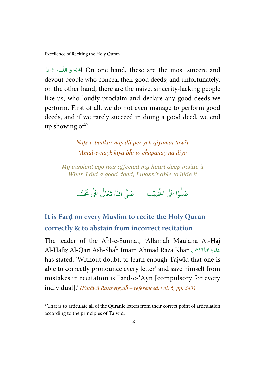$\overline{a}$ 

<span id="page-21-0"></span>ŕ شَبْحُنَ اللُّــهِ عَزَدَمَلَ On one hand, these are the most sincere and & -Í í devout people who conceal their good deeds; and unfortunately, on the other hand, there are the naive, sincerity-lacking people like us, who loudly proclaim and declare any good deeds we perform. First of all, we do not even manage to perform good deeds, and if we rarely succeed in doing a good deed, we end up showing off!

> Nafs-e-badkār nay dil per yeĥ qiyāmat tawřī 'Amal-e-nayk kiyā bĥī to cĥupānay na diyā

My insolent ego has affected my heart deep inside it When I did a good deed, I wasn't able to hide it

> .<br>وا عَلَى الْحَ ہ<br>ا و<br>ا صَلُّوۡا عَلَى الْحَبِيۡبِ ۚ صَلَّى اللّٰهُ ֘ صَلَّى اللّٰهُ تَعَالٰى عَلٰى مُحَمَّد ٰ

**It is Far**ḍ **on every Muslim to recite the Holy Quran correctly & to abstain from incorrect recitation** 

The leader of the Aĥl-e-Sunnat, 'Allāmaĥ Maulānā Al-Ḥāj Al-Ḥāfiẓ Al-Qārī Ash-Shāĥ Imām Aḥmad Razā Khān حَلَيْوَبَحْمَةُالرَّحْمَنِ í j ֚ has stated, 'Without doubt, to learn enough Tajwīd that one is able to correctly pronounce every letter<sup>1</sup> and save himself from mistakes in recitation is Farḍ-e-'Ayn [compulsory for every individual].' (Fatāwā Razawiyyaĥ – referenced, vol. 6, pp. 343)

<sup>&</sup>lt;sup>1</sup> That is to articulate all of the Quranic letters from their correct point of articulation according to the principles of Tajwīd.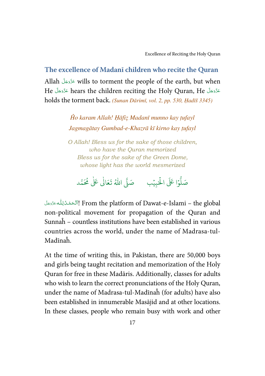#### <span id="page-22-0"></span>**The excellence of Madanī children who recite the Quran**

Allah عَزَّدَجَلَّ wills to torment the people of the earth, but when ś í He hears the children reciting the Holy Quran, He í í ś í holds the torment back. (Sunan Dārimī, vol. 2, pp. 530, Hadīš 3345)

> Ĥo karam Allah! Ḥāfiẓ Madanī munno kay ṭufayl Jagmagātay Gumbad-e-Khazrā kī kirno kay ṭufayl

> O Allah! Bless us for the sake of those children, who have the Quran memorized Bless us for the sake of the Green Dome, whose light has the world mesmerized

.<br>وا عَلَى الْح ر<br>أ و<br>أ صَلُّوۡا عَلَى الْحَبِيۡبِ ۚ صَلَّى اللّٰهُ ֘ صَلَّى اللهُ تَعَالٰى عَلٰى مُحَمَّد ٰ

From the platform of Dawat-e-Islami – the global باآلحَمْدُلِلُّـمَّتَزَمَلَ j ć ć Ş í non-political movement for propagation of the Quran and Sunnaĥ – countless institutions have been established in various countries across the world, under the name of Madrasa-tul-Madīnaĥ.

At the time of writing this, in Pakistan, there are 50,000 boys and girls being taught recitation and memorization of the Holy Quran for free in these Madāris. Additionally, classes for adults who wish to learn the correct pronunciations of the Holy Quran, under the name of Madrasa-tul-Madīnaĥ (for adults) have also been established in innumerable Masājid and at other locations. In these classes, people who remain busy with work and other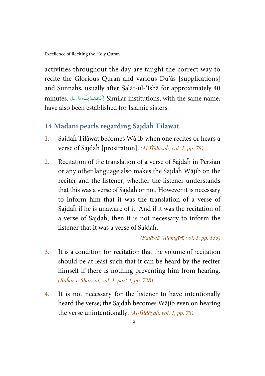<span id="page-23-0"></span>activities throughout the day are taught the correct way to recite the Glorious Quran and various Du'ās [supplications] and Sunnaĥs, usually after Ṣalāt-ul-'Ishā for approximately 40 minutes. أَٱلۡحَمۡدُلِلُّهٴ يَرۡدَىَنَا Similar institutions, with the same name, j í ś ś í have also been established for Islamic sisters.

#### **14 Madanī pearls regarding Sajdaĥ Tilāwat**

- 1. Sajdaĥ Tilāwat becomes Wājib when one recites or hears a verse of Sajdaĥ [prostration]. (Al-Ĥidāyaĥ, vol. 1, pp. 78)
- 2. Recitation of the translation of a verse of Sajdaĥ in Persian or any other language also makes the Sajdaĥ Wājib on the reciter and the listener, whether the listener understands that this was a verse of Sajdaĥ or not. However it is necessary to inform him that it was the translation of a verse of Sajdaĥ if he is unaware of it. And if it was the recitation of a verse of Sajdaĥ, then it is not necessary to inform the listener that it was a verse of Sajdaĥ.

(Fatāwā 'Ālamgīrī, vol. 1, pp. 133)

- 3. It is a condition for recitation that the volume of recitation should be at least such that it can be heard by the reciter himself if there is nothing preventing him from hearing. (Baĥār-e-Sharī'at, vol. 1, part 4, pp. 728)
- 4. It is not necessary for the listener to have intentionally heard the verse; the Sajdaĥ becomes Wājib even on hearing the verse unintentionally. (Al-Ĥidāyaĥ, vol. 1, pp. 78)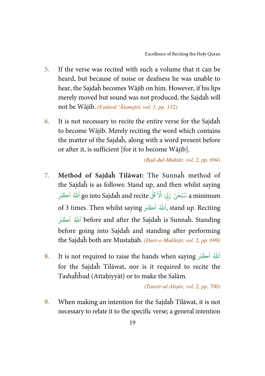- 5. If the verse was recited with such a volume that it can be heard, but because of noise or deafness he was unable to hear, the Sajdaĥ becomes Wājib on him. However, if his lips merely moved but sound was not produced, the Sajdaĥ will not be Wājib. (Fatāwā 'Ālamgīrī, vol. 1, pp. 132)
- 6. It is not necessary to recite the entire verse for the Sajdaĥ to become Wājib. Merely reciting the word which contains the matter of the Sajdaĥ, along with a word present before or after it, is sufficient [for it to become Wājib].

(Rad-dul-Muḥtār, vol. 2, pp. 694)

- 7. **Method of Sajdaĥ Tilāwat:** The Sunnaĥ method of the Sajdaĥ is as follows: Stand up, and then whilst saying بِّ الْاَعْلٰيُّ go into Sajdaĥ and recite اَللّٰهُ اَڪْبَر ا مُبۡحَٰنَ رَبِّیَ a minimum ֘ ا of 3 times. Then whilst saying ,اَللّٰهُ اَڪْبَر stand up. Reciting ا اَللهُ اَڪْبَر before and after the Sajdaĥ is Sunnaĥ. Standing ا before going into Sajdaĥ and standing after performing the Sajdaĥ both are Mustahab. (Durr-e-Mukhtār, vol. 2, pp. 699)
- $8.$  It is not required to raise the hands when saying آللهُ اَڪْبَر  $\,$ ا for the Sajdaĥ Tilāwat, nor is it required to recite the Tashaĥĥud (Attaḥiyyāt) or to make the Salām.

(Tanvīr-ul-Abṣār, vol. 2, pp. 700)

9. When making an intention for the Sajdaĥ Tilāwat, it is not necessary to relate it to the specific verse; a general intention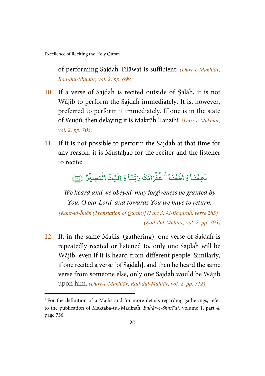$\overline{a}$ 

of performing Sajdaĥ Tilāwat is sufficient. (Durr-e-Mukhtār, Rad-dul-Muḥtār, vol. 2, pp. 699)

- 10. If a verse of Sajdaĥ is recited outside of Ṣalāĥ, it is not Wājib to perform the Sajdaĥ immediately. It is, however, preferred to perform it immediately. If one is in the state of Wuḍū, then delaying it is Makrūĥ Tanzīĥī. (Durr-e-Mukhtār, vol. 2, pp. 703)
- 11. If it is not possible to perform the Sajdaĥ at that time for any reason, it is Mustahab for the reciter and the listener to recite:

#### .<br>سَمِعۡنَا وَ ֧֘  $\mathbf{r}$ أطَعْنَا ; í ْطَعْنَا َ ٌ خُفْرَانَكَ رَبَّنَا وَ اِلَيۡ ֧֘ -֓  $\overline{\cdot}$ لَيۡكَ الۡمَصِيۡرُ ۚ لِسَنَّ ؚ<br>; ֧֦֓

We heard and we obeyed, may forgiveness be granted by You, O our Lord, and towards You we have to return.

[Kanz-ul-Īmān (Translation of Quran)] (Part 3, Al-Baqaraĥ, verse 285) (Rad-dul-Muḥtār, vol. 2, pp. 703)

 $12.$  If, in the same Majlis<sup>1</sup> (gathering), one verse of Sajdah is repeatedly recited or listened to, only one Sajdaĥ will be Wājib, even if it is heard from different people. Similarly, if one recited a verse [of Sajdaĥ], and then he heard the same verse from someone else, only one Sajdaĥ would be Wājib upon him. (Durr-e-Mukhtār, Rad-dul-Muḥtār, vol. 2, pp. 712)

<sup>&</sup>lt;sup>1</sup> For the definition of a Majlis and for more details regarding gatherings, refer to the publication of Maktaba-tul-Madīnaĥ: Baĥār-e-Sharī'at, volume 1, part 4, page 736.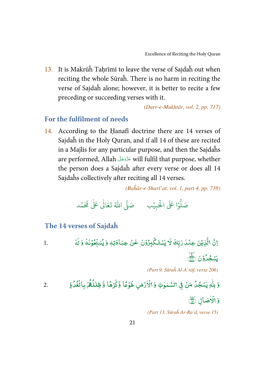<span id="page-26-0"></span>13. It is Makrūĥ Tahrīmī to leave the verse of Sajdaĥ out when reciting the whole Sūraĥ. There is no harm in reciting the verse of Sajdaĥ alone; however, it is better to recite a few preceding or succeeding verses with it.

(Durr-e-Mukhtār, vol. 2, pp. 717)

#### **For the fulfilment of needs**

14. According to the Ḥanafī doctrine there are 14 verses of Sajdaĥ in the Holy Quran, and if all 14 of these are recited in a Majlis for any particular purpose, and then the Sajdaĥs are performed, Allah will fulfil that purpose, whether ś í the person does a Sajdaĥ after every verse or does all 14 Sajdaĥs collectively after reciting all 14 verses.

(Baĥār-e-Sharī'at, vol. 1, part 4, pp. 738)

.<br>وا عَلَى الْح ر<br>ار و<br>أ صَلُّوۡا عَلَى الْحَبِيۡبِ ۚ صَلَّى اللّٰهُ ֘ صَلَّى اللهُ تَعَالٰى عَلٰى مُحَمَّد ٰ

**The 14 verses of Sajdaĥ**

1. Y 4 ۡ Z ( ۡ N B % [ \ ۡ -W ] ۡ ^ 6 ۡ 4 ۡ( \_# ٖ < ` -\ ۡ -G b 7 : 7 8 9 \ ۡ - c ۡ 4 =>?d eA

(Part 9, Sūraĥ Al-A'rāf, verse 206)

2. ٰ h fg \ - c ۡ ۡ( i \$ k j ٰ ٰ l ۡ ۡ # [ m n ۡ R # o m p ۡ " ۡ E q - ٰ # r % - s ۡ 

وَالْأَصَالِ ٱلْتَ ٰ ֚֓

(Part 13, Sūraĥ Ar-Ra'd, verse 15)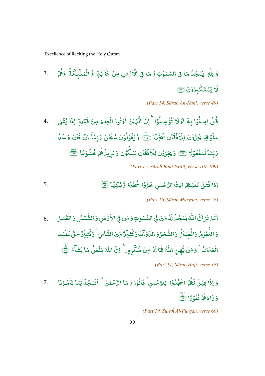3. ٰ وَ لِلّٰهِ يَسْجُلُ مَا فِى السَّمٰوٰتِ وَ مَا فِى الْاَرْضِ مِنْ ۚ ذَآ بَّةٍ ۚ وَّ الْمَلَيْكَةُ --ٰ ֘ ់ -֦ وَّ الۡمَلَّيۡكَةُ وَهُمۡ ۚ  $3.$ ֧֓ , -لَا يَسْتَكُبِرُوْنَ ۞ ֧֦֘ - $\overline{\phantom{a}}$ 

(Part 14, Sūraĥ An-Naḥl, verse 49)

4. -قُلۡ اٰمِـنُوۡا بِهٖٓ اَوۡلَا تُؤۡمِـنُوۡا/ ۚ إِنَّ الَّذِيۡنَ ֘ ֧֦֘ -ٰ ֧֦֘ [ ៵ -֧֦֘ -֘ الَّذِيْنَ أُوْتُوا الْعِلْمَ مِنْ قَبۡلِهَٖ ֧֦֘ -់ ់ ֧֘ ֦֧ .<br>قَبۡلِهَ اِذَا يُتۡلٰى ٰ , ះ -, يُبْلِمُ ֘  $\overline{\cdot}$ عَلَيۡـِهِمۡم يَخِرُّوۡنَ لِلۡاَذۡقَانِ ֧֘ -֦ لِلۡاَفۡقَانِ سُجَّىًّا (ﷺ وَ يَقُوۡلُوۡنَ سُبۡحٰنَ ់ ֚֘ -֧֦֘ -֧֦֘ -ٰ ; -ۤ رَبِّنَآ إنْ <mark>كَا</mark>نَ ់  $\overline{\phantom{a}}$ كَانَ وَخَمُّا -֧֘ دَبِّنَا لَمَفْعُوْلًا (٢٢) وَيَخِرُّوْنَ لِلْاَذْقَانِ [ ֦֧֦ -֧֘ ֧֦֘ -֦ لِلْاَذْقَانِ يَبْكُوْنَ وَيَزِيْلُاهُمْ خُشُوْعًا لَتَنَّجْ ֧֦֘ ֧֘ ֦֧֦ -֘ -֘ , -֦֧֦ --(Part 15, Sūraĥ Banī Isrāīl, verse 107-109)

اِذَا تُتُلْى عَلَيْهِمُ اٰيْتُ الرَّحْمٰنِ خَرُّوْا 'مُجَّلًا' وَّ بُكِيًّا لَيْ ٰ , ះ -, ֓  $\overline{\phantom{a}}$ عَلَيْهِمْ أَيْتُ الرَّحْمٰنِ خَرُّوُا سُجَّدًا وَّبُكِيًّا أَنَّ -ٰ ֧֘ ---

(Part 16, Sūraĥ Maryam, verse 58)

6. ٱلَمۡ تَرَانَّ اللَّهَ يَسۡجُلُالَهَ ٰ --7 لَهُ مَنۡ فِی السَّمٰوٰتِ وَمَنۡ فِی  $\overline{\mathbf{S}}$ j j الْأَرْضِ وَالشَّمْسُ ֧֘ ֘ الشَّمْسُ وَ الْقَمَرُ ֘ .<br>5 اللَّجُوْ ֧֦֘ --النُّجُوۡمُروَا يُجِبَالُ وَالشَّجَرُوَ الذَّوَآ -֓ -النَّاوَآبُّ وَ - $\overline{a}$ كَّتِّيۡرٌ مِّنَ النَّاسِ ؚ<br>: النَّاس<sup>ِ ا</sup>وَكَ  $\overline{\phantom{a}}$ ڷ**ؿؚؽؗڒٞڂقَّ**ڡٙڶؽ<sup>ۣ</sup> ؚ<br>; ֧֘  $\overline{\phantom{a}}$ عَلَ **َ<br>حَقَّ عَلَيۡهِ** -ن<br>نابٌ الْعَلَاابُ/ٌ وَمَنۡ يُّهِنِ اللَّهُ فَمَا ֘ -ٰ  $\ddot{\phantom{0}}$ - $\overline{\cdot}$ فمالة 7  $\overline{\cdot}$ لَةُ مِنْ شُكْرِمٍ ۚ إنَّ اللَّهَ يَفْعَلُ مَا يَشَآءُ ۚ أَيُّ ់  $\overline{\phantom{a}}$ -ٰ í -់ -

(Part 17, Sūraĥ Hajj, verse 18)

وَ اِذَا قِيْلَ لَهُمُ اسْجُدُوْا ۚ لِلرَّحْمٰنِ ۚ قَالُوْا وَ مَا الرَّحْمٰنُ ۚ اَنَسۡجُدُ لِمَا تَأْمُـرُنَا  $\cdot$  7. -֘ ֧֘ --֘ ֧֘ -لِلرَّحۡمٰنِ ۚ قَالُوۡا وَ مَا الرَّحۡمٰنُ ۚ اَنَسۡجُلُ لِمَا تَأۡمُ ֦֧ -֧֦֘ اَنَسۡجُلُ لِمَا تَأۡمُـُرُنَا  $\cdot$  7. --وَ ذَادَهُمۡ نُفُوۡدًا نَّےۡ , -֦֧֦ --

(Part 19, Sūraĥ Al-Furqān, verse 60)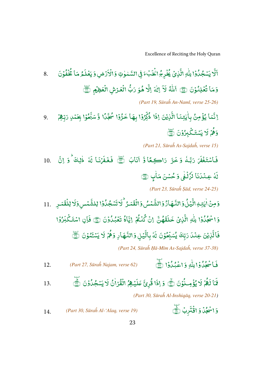8. ألا لَّا يَسْجُدُوْا لِلّٰهِ الَّذِىُ يُخْرِجُ الْخَبْءَ فِي السَّمٰوٰتِ وَالْاَرُضِ وَيَعۡلَمُ [ ֧֦֘ --֘ ٰ ֦֧<sup>֓</sup>֧֓ -֘ ٰ ֘ ់ - $\overline{\phantom{a}}$ يَعۡلَمُ مَا يُخۡفُوۡنَ ֦֧ ֧֦֘ -֧֘ -وَمَا تُعۡلِنُوۡنَ ۞ ٱللَّهُ ֧֦֘ -; -ٰ -.<br>ب لَا اِلٰہَ اِلَّا ٰ إِلَّا هُوَ رَبُّ الْعَرْشِ الْعَظِيْمِ ۚ --֘ ֧֓ , ֘ (Part 19, Sūraĥ An-Naml, verse 25-26) اِنَّمَا يُؤْمِنُ بِأَيْتِنَا الَّذِيْنَ اِذَا ذُّلِّوُوْا بِهَا خَرُّوْا سُجَّلًا وَّسَبَّخُوْا بِحَمْلِ رَبِّهِمْ نَّمَا يُؤْمِنُ بِأَيْتِنَا الَّذِيْنَ ៵ --ٰ ٰ ۡ الَّذِيۡنَ إِذَا ذُٰٓكِّرُوۡا ֧֘ -ر<br>م ذُّكِّرُوْا بِهَا خَرُّوْا سُجَّىًا وَّسَبَّحُوْا -֧֘ --֧֦֘ -سَبَّحُوْا بِحَمْلِ رَبِّهِمْ ֧֘ , , وَهُمۡ لَا يَسۡتَكۡلِّرُوۡنَ (ۡۖ -֧֦֓ -֘ (Part 21, Sūraĥ As-Sajdaĥ, verse 15) 10.  $\ddot{\cdot}$ فَاسْتَغْفَرَ  $\overline{\cdot}$ )َسْتَغْفَمَ رَبَّـٰهُ وَخَرَّ رَاكِـعًا وَّ اَنَابَ ٱلْمَجْ فَ ់ ۡ فَغَفَنَ ,  $\overline{\cdot}$ فَمْنَا لَهُ :  $\overline{\phantom{a}}$  9 & . B 4 ٰ <sup>6</sup> á  $\overline{\phantom{a}}$ .<br>لَهُ عِنْدَنَا لَزُّ ֧֘ - $\overline{\phantom{a}}$ لَزُلْفِي وَحُسْنَ مَاٰبٍ ١ ֧֓ ٰ -ٰ (Part 23, Sūraĥ Ṣād, verse 24-25) وَمِنْ اٰيِتِهِ الَّيۡلُوۡ النَّهَادُوۡ الشَّّعۡسُ وَالۡقَدَرُ ۚ لَاتَسۡجُدُوۡا لِلشَّمۡسِ وَلَا لِلۡقَمَـٰرِ ֧֘ ٰ ٰ ֘ ِ<br>يُلُوَالنَّهَارُوَالشَّ -- $\overline{\phantom{a}}$ الَّيۡلُوۡٓالنَّـَّهَارُوۡالشَّّمۡسُ وَالۡقَمَـرُ ۚ لَاتَسۡجُلُوۡا لِلشَّمۡسِ -- $\overline{a}$ لِلشَّمْسِ<mark>وَلَا لِل</mark>ُقَمَرِ [ ់ وَ اسْحُدُوۡا لِلّٰہِ الَّذِیۡ خَلَقَهُنَّ ֧֘ --֘ - $\overline{\phantom{a}}$ خَلَقَهُنَّ إنْ كُنْثُمْ إِيَّا، ֧֦֘ ֘ -֧֘ --اِيَّاهُ تَعۡبُدُوۡنَ ۞ فَإِنِ ֧֘ --֧֘  $\ddot{\cdot}$ فَإِنِ اسْتَكْبَرُوْا ֧֦֘ -, ۡ  $\mathcal{L}$  $\overline{\cdot}$ فَالَّذِينَ ׇ لَّٰٓأَيۡكِ عِمۡدَا رَبِّكَ يُسَبِّحُوۡنَ ֘ ֦֧֦ -و<br>پَسَبِّحُوْنَ لَهُ -7  $\overline{\cdot}$ نَهُ بِٱلَّيۡلِ ֧֘ بِالَّيۡلِ وَالنَّـهَادِ وَهُمۡ لَا يَسۡئَمُوۡنَ ۞ , -֦֧֦ -É (Part 24, Sūraĥ Ḥā-Mīm As-Sajdaĥ, verse 37-38) 12. (Part 27, Sūraĥ Najam, verse 62)  $\ddot{\cdot}$ فَا سُجُدُوْا لِلّٰهِ وَاغْبُدُوْا لَيْ --֘ ֧֘ ٰ ֧֦֘ --֧֘ 13.  $\overline{\phantom{a}}$ فَاكَمُ لَا يُؤْمِـنُوۡنَ ۞ وَ إِذَا قُرِئَ عَلَيۡهِمُ , -[ ់ - $\overline{a}$ ---֘  $\overline{\cdot}$ عَلَيۡهِمُ الۡقُرۡاٰنُ لَا يَسۡجُلُوۡنَ (٢) -ٰ -֧֘ [ ֧֦֘ --(Part 30, Sūraĥ Al-Inshiqāq, verse 20-21) وَ اسْحُلُ وَ اقْتَدِبْ رَبِّيُّ ۚ ﴾ [13] (Part 30, Sūraĥ Al-'Alaq, verse 19) ֘ -֘ , ֦ اقْتُربُ (<u>پُ</u> ֚֘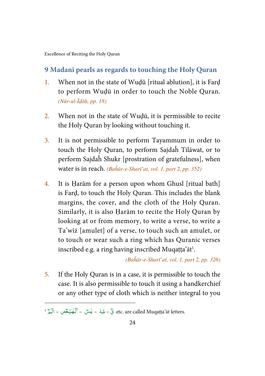#### <span id="page-29-0"></span>**9 Madanī pearls as regards to touching the Holy Quran**

- 1. When not in the state of Wuḍū [ritual ablution], it is Farḍ to perform Wuḍū in order to touch the Noble Quran. (Nūr-ul-Īḍāḥ, pp. 18)
- 2. When not in the state of Wuḍū, it is permissible to recite the Holy Quran by looking without touching it.
- 3. It is not permissible to perform Tayammum in order to touch the Holy Quran, to perform Sajdaĥ Tilāwat, or to perform Sajdaĥ Shukr [prostration of gratefulness], when water is in reach. (Baĥār-e-Sharī'at, vol. 1, part 2, pp. 352)
- 4. It is Ḥarām for a person upon whom Ghusl [ritual bath] is Farḍ, to touch the Holy Quran. This includes the blank margins, the cover, and the cloth of the Holy Quran. Similarly, it is also Ḥarām to recite the Holy Quran by looking at or from memory, to write a verse, to write a Ta'wīż [amulet] of a verse, to touch such an amulet, or to touch or wear such a ring which has Quranic verses inscribed e.g. a ring having inscribed Muqatta'at<sup>1</sup>.

(Baĥār-e-Sharī'at, vol. 1, part 2, pp. 326)

5. If the Holy Quran is in a case, it is permissible to touch the case. It is also permissible to touch it using a handkerchief or any other type of cloth which is neither integral to you

l

etc. are called Muqaṭṭa'āt letters. ق – طه – ليستن – كمهليكمص – الكمر ا ٓ ٰ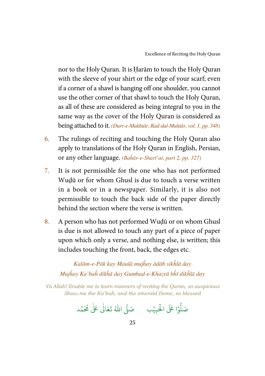nor to the Holy Quran. It is Ḥarām to touch the Holy Quran with the sleeve of your shirt or the edge of your scarf; even if a corner of a shawl is hanging off one shoulder, you cannot use the other corner of that shawl to touch the Holy Quran, as all of these are considered as being integral to you in the same way as the cover of the Holy Quran is considered as being attached to it. (Durr-e-Mukhtār, Rad-dul-Muhtār, vol. 1, pp. 348)

- 6. The rulings of reciting and touching the Holy Quran also apply to translations of the Holy Quran in English, Persian, or any other language. (Baĥār-e-Sharī'at, part 2, pp. 327)
- 7. It is not permissible for the one who has not performed Wuḍū or for whom Ghusl is due to touch a verse written in a book or in a newspaper. Similarly, it is also not permissible to touch the back side of the paper directly behind the section where the verse is written.
- 8. A person who has not performed Wuḍū or on whom Ghusl is due is not allowed to touch any part of a piece of paper upon which only a verse, and nothing else, is written; this includes touching the front, back, the edges etc.

Kalām-e-Pāk kay Maulā mujĥay ādāb sikĥlā day Mujĥay Ka'baĥ dikĥā day Gumbad-e-Khazrā bĥī dikĥlā day

Yā Allah! Enable me to learn manners of reciting the Quran, so auspicious Show me the Ka'baĥ; and the emerald Dome, so blessed

.<br>وا عَلَى الْح ہ<br>ا و<br>أ صَلُّوۡا عَلَى الْحَبِيۡبِ ۚ صَلَّى اللّٰهُ ֘ صَلَّى اللهُ تَعَالٰى عَلٰى مُحَمَّد ٰ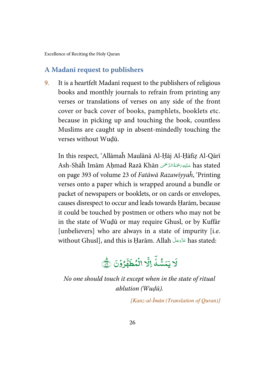#### <span id="page-31-0"></span>**A Madanī request to publishers**

9. It is a heartfelt Madanī request to the publishers of religious books and monthly journals to refrain from printing any verses or translations of verses on any side of the front cover or back cover of books, pamphlets, booklets etc. because in picking up and touching the book, countless Muslims are caught up in absent-mindedly touching the verses without Wuḍū.

In this respect, 'Allāmaĥ Maulānā Al-Ḥāj Al-Ḥāfiẓ Al-Qārī Ash-Shāĥ Imām Aḥmad Razā Khān عَلَيْهِ رَحْمَةُ الرَّحْمَنِ has stated í -Ĵ ֚ on page 393 of volume 23 of Fatāwā Razawīyyaĥ, 'Printing verses onto a paper which is wrapped around a bundle or packet of newspapers or booklets, or on cards or envelopes, causes disrespect to occur and leads towards Ḥarām, because it could be touched by postmen or others who may not be in the state of Wuḍū or may require Ghusl, or by Kuffār [unbelievers] who are always in a state of impurity [i.e.] without Ghusl], and this is Ḥarām. Allah has stated: ś í

#### $\overline{\phantom{a}}$  $\overline{y}$ ر<br>په 7 شۀ -يَمَسُّهُ اِلَّا ្ត្ إِلَّا الْمُطَهَّرُوْنَ ֧֦֘ - ± í الُمُطَهَّرُوْنَ ٢ -່<br>ໍ

No one should touch it except when in the state of ritual ablution (Wuḍū).

[Kanz-ul-Īmān (Translation of Quran)]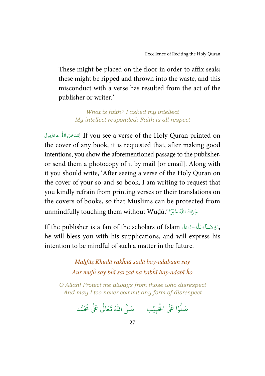These might be placed on the floor in order to affix seals; these might be ripped and thrown into the waste, and this misconduct with a verse has resulted from the act of the publisher or writer.'

> What is faith? I asked my intellect My intellect responded: Faith is all respect

ć اِسْبُحْنَ اللّٰــه عَزَّدَمَلَ If you see a verse of the Holy Quran printed on & -Í í the cover of any book, it is requested that, after making good intentions, you show the aforementioned passage to the publisher, or send them a photocopy of it by mail [or email]. Along with it you should write, 'After seeing a verse of the Holy Quran on the cover of your so-and-so book, I am writing to request that you kindly refrain from printing verses or their translations on the covers of books, so that Muslims can be protected from unmindfully touching them without Wuḍū.' أَجَزَاكَ اللَّهُ خَيْرًا َ

If the publisher is a fan of the scholars of Islam أَوَانَ شَكَآءَاللَّهُ عَزَدَجَلَ í í í í he will bless you with his supplications, and will express his intention to be mindful of such a matter in the future.

> Maḥfūẓ Khudā rakĥnā sadā bay-adabaun say Aur mujĥ say bĥī sarzad na kabĥī bay-adabī ĥo

O Allah! Protect me always from those who disrespect And may I too never commit any form of disrespect

.<br>وا عَلَى الْح ر<br>أ و<br>أ صَلُّوۡا عَلَى الْحَبِيۡبِ ۚ صَلَّى اللّٰهُ ֘ صَلَّى اللهُ تَعَالٰى عَلٰى مُحَمَّد ٰ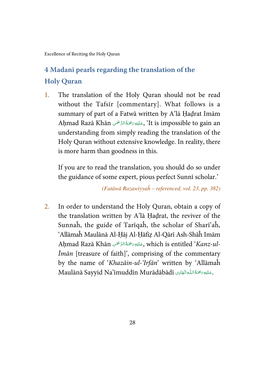### <span id="page-33-0"></span>**4 Madanī pearls regarding the translation of the Holy Quran**

1. The translation of the Holy Quran should not be read without the Tafsīr [commentary]. What follows is a summary of part of a Fatwā written by A'lā Ḥaḍrat Imām Aḥmad Razā Khān حَلَيْهِى يَحْمَهُ الرَّحْمَٰنِ, 'It is impossible to gain an í -Ĵ Ĵ understanding from simply reading the translation of the Holy Quran without extensive knowledge. In reality, there is more harm than goodness in this.

If you are to read the translation, you should do so under the guidance of some expert, pious perfect Sunnī scholar.'

(Fatāwā Razawiyyaĥ – referenced, vol. 23, pp. 382)

2. In order to understand the Holy Quran, obtain a copy of the translation written by A'lā Ḥaḍrat, the reviver of the Sunnaĥ, the guide of Tarīqaĥ, the scholar of Sharī'aĥ, 'Allāmaĥ Maulānā Al-Ḥāj Al-Ḥāfiẓ Al-Qārī Ash-Shāĥ Imām Aḥmad Razā Khān حَلَيْهِ رَحْمَةُ الرَّحْمَنِ, which is entitled '*Kanz-ul*í -Ĵ  $\ddot{\phantom{a}}$  $\bar{I}$ *mān* [treasure of faith]', comprising of the commentary by the name of 'Khazāin-ul-'Irfān' written by 'Allāmaĥ Maulānā Sayyid Na'īmuddīn Murādābādī كَتَبْوَيَحْمَةُاللّٰهِ الْهَابِرِ í í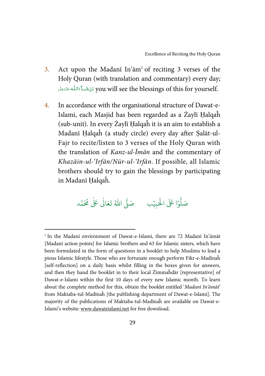- 3. Act upon the Madani In' $am<sup>1</sup>$  of reciting 3 verses of the Holy Quran (with translation and commentary) every day;   
 you will see the blessings of this for yourself. ś í í í
- 4. In accordance with the organisational structure of Dawat-e-Islami, each Masjid has been regarded as a Żaylī Ḥalqaĥ (sub-unit). In every Żaylī Ḥalqaĥ it is an aim to establish a Madanī Ḥalqaĥ (a study circle) every day after Ṣalāt-ul-Fajr to recite/listen to 3 verses of the Holy Quran with the translation of Kanz-ul-Īmān and the commentary of Khazāin-ul-'Irfān/Nūr-ul-'Irfān. If possible, all Islamic brothers should try to gain the blessings by participating in Madanī Ḥalqaĥ.

#### .<br>وا عَلَى الْح ہ<br>ا و<br>ا صَلُّوۡا عَلَى الْحَبِيۡبِ ۚ صَلَّى اللّٰهُ ֘ صَلَّى اللهُ تَعَالٰى عَلٰى مُحَمَّد ٰ

 $\overline{a}$ 

<sup>&</sup>lt;sup>1</sup> In the Madanī environment of Dawat-e-Islami, there are 72 Madanī In'āmāt [Madanī action points] for Islamic brothers and 63 for Islamic sisters, which have been formulated in the form of questions in a booklet to help Muslims to lead a pious Islamic lifestyle. Those who are fortunate enough perform Fikr-e-Madīnaĥ [self-reflection] on a daily basis whilst filling in the boxes given for answers, and then they hand the booklet in to their local Żimmaĥdār [representative] of Dawat-e-Islami within the first 10 days of every new Islamic month. To learn about the complete method for this, obtain the booklet entitled 'Madanī In'āmāt' from Maktaba-tul-Madīnaĥ [the publishing department of Dawat-e-Islami]. The majority of the publications of Maktaba-tul-Madīnaĥ are available on Dawat-e-Islami's website: www.dawateislami.net for free download.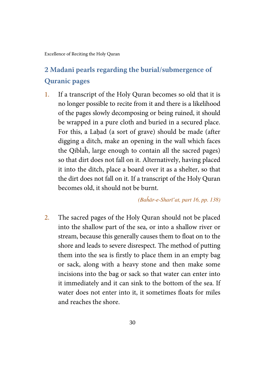### <span id="page-35-0"></span>**2 Madanī pearls regarding the burial/submergence of Quranic pages**

1. If a transcript of the Holy Quran becomes so old that it is no longer possible to recite from it and there is a likelihood of the pages slowly decomposing or being ruined, it should be wrapped in a pure cloth and buried in a secured place. For this, a Lahad (a sort of grave) should be made (after digging a ditch, make an opening in the wall which faces the Qiblaĥ, large enough to contain all the sacred pages) so that dirt does not fall on it. Alternatively, having placed it into the ditch, place a board over it as a shelter, so that the dirt does not fall on it. If a transcript of the Holy Quran becomes old, it should not be burnt.

(Baĥār-e-Sharī'at, part 16, pp. 138)

2. The sacred pages of the Holy Quran should not be placed into the shallow part of the sea, or into a shallow river or stream, because this generally causes them to float on to the shore and leads to severe disrespect. The method of putting them into the sea is firstly to place them in an empty bag or sack, along with a heavy stone and then make some incisions into the bag or sack so that water can enter into it immediately and it can sink to the bottom of the sea. If water does not enter into it, it sometimes floats for miles and reaches the shore.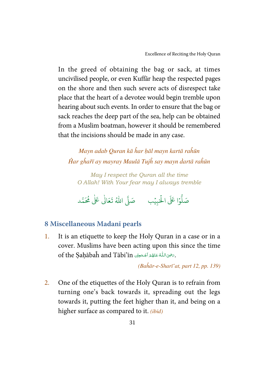<span id="page-36-0"></span>In the greed of obtaining the bag or sack, at times uncivilised people, or even Kuffār heap the respected pages on the shore and then such severe acts of disrespect take place that the heart of a devotee would begin tremble upon hearing about such events. In order to ensure that the bag or sack reaches the deep part of the sea, help can be obtained from a Muslim boatman, however it should be remembered that the incisions should be made in any case.

Mayn adab Quran kā ĥar ḥāl mayn kartā raĥūn Ĥar gĥařī ay mayray Maulā Tujĥ say mayn ḋartā raĥūn

May I respect the Quran all the time O Allah! With Your fear may I always tremble

.<br>وا عَلَى الْح ر<br>آ و<br>ا صَلُّوۡا عَلَى الْحَبِيۡبِ ۚ صَلَّى اللّٰهُ  $\overline{\phantom{a}}$ صَلَّى اللهُ تَعَالٰى عَلٰى مُحَمَّد ٰ

#### **8 Miscellaneous Madanī pearls**

1. It is an etiquette to keep the Holy Quran in a case or in a cover. Muslims have been acting upon this since the time of the Saḥābaĥ and Tābi'īn دَحِْيَ اللَّهُ عَنْهُمْ أَجْمَعِينْ of the Saḥābaĥ and Tābi'īn í ŕ ć ؚ<br>֡ í å.

(Baĥār-e-Sharī'at, part 12, pp. 139)

2. One of the etiquettes of the Holy Quran is to refrain from turning one's back towards it, spreading out the legs towards it, putting the feet higher than it, and being on a higher surface as compared to it. *(ibid)*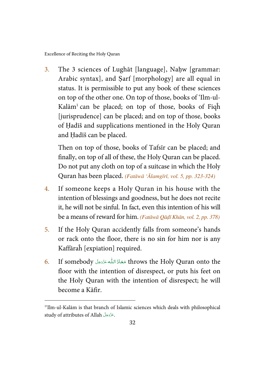$\overline{a}$ 

3. The 3 sciences of Lughāt [language], Naḥw [grammar: Arabic syntax], and Ṣarf [morphology] are all equal in status. It is permissible to put any book of these sciences on top of the other one. On top of those, books of 'Ilm-ul-Kalām<sup>1</sup> can be placed; on top of those, books of Fiqh [jurisprudence] can be placed; and on top of those, books of Ḥadīš and supplications mentioned in the Holy Quran and Ḥadīš can be placed.

Then on top of those, books of Tafsīr can be placed; and finally, on top of all of these, the Holy Quran can be placed. Do not put any cloth on top of a suitcase in which the Holy Quran has been placed. (Fatāwā 'Ālamgīrī, vol. 5, pp. 323-324)

- 4. If someone keeps a Holy Quran in his house with the intention of blessings and goodness, but he does not recite it, he will not be sinful. In fact, even this intention of his will be a means of reward for him. (Fatāwā Qāḍī Khān, vol. 2, pp. 378)
- 5. If the Holy Quran accidently falls from someone's hands or rack onto the floor, there is no sin for him nor is any Kaffāraĥ [expiation] required.
- 6. If somebody مَعَاذَ اللَّه عَزَّدَجَلَّ throws the Holy Quran onto the í Í í í floor with the intention of disrespect, or puts his feet on the Holy Quran with the intention of disrespect; he will become a Kāfir.

<sup>&</sup>lt;sup>1</sup>'Ilm-ul-Kalām is that branch of Islamic sciences which deals with philosophical study of attributes of Allah . ś í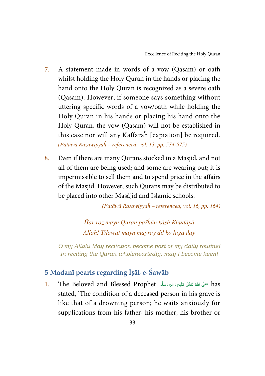- <span id="page-38-0"></span>7. A statement made in words of a vow (Qasam) or oath whilst holding the Holy Quran in the hands or placing the hand onto the Holy Quran is recognized as a severe oath (Qasam). However, if someone says something without uttering specific words of a vow/oath while holding the Holy Quran in his hands or placing his hand onto the Holy Quran, the vow (Qasam) will not be established in this case nor will any Kaffāraĥ [expiation] be required. (Fatāwā Razawiyyaĥ – referenced, vol. 13, pp. 574-575)
- 8. Even if there are many Qurans stocked in a Masjid, and not all of them are being used; and some are wearing out; it is impermissible to sell them and to spend price in the affairs of the Masjid. However, such Qurans may be distributed to be placed into other Masājid and Islamic schools.

(Fatāwā Razawiyyaĥ – referenced, vol. 16, pp. 164)

Ĥar roz mayn Quran pařĥūn kāsh Khudāyā Allah! Tilāwat mayn mayray dil ko lagā day

O my Allah! May recitation become part of my daily routine! In reciting the Quran wholeheartedly, may I become keen!

#### **5 Madanī pearls regarding Ī**ṣ**āl-e-Šawāb**

l. The Beloved and Blessed Prophet حَلَّ اللَّهَ تَعَالَى عَلَيْهِ وَاللهِ وَسَلَّمَ í í í í í ć stated, 'The condition of a deceased person in his grave is like that of a drowning person; he waits anxiously for supplications from his father, his mother, his brother or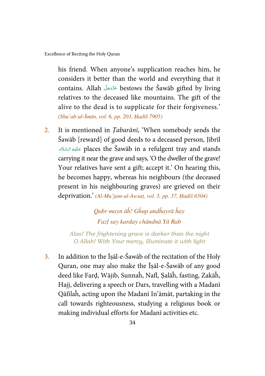his friend. When anyone's supplication reaches him, he considers it better than the world and everything that it contains. Allah bestows the Šawāb gifted by living ś í relatives to the deceased like mountains. The gift of the alive to the dead is to supplicate for their forgiveness.' (Shu'ab-ul-Īmān, vol. 6, pp. 203, Ḥadīš 7905)

2. It is mentioned in *Tabarānī*, 'When somebody sends the Šawāb [reward] of good deeds to a deceased person, Jibrīl BC D 
  places the Šawāb in a refulgent tray and stands Ĵ ć carrying it near the grave and says, 'O the dweller of the grave! Your relatives have sent a gift; accept it.' On hearing this, he becomes happy, whereas his neighbours (the deceased present in his neighbouring graves) are grieved on their deprivation.' (Al-Mu'jam-ul-Awsaṭ, vol. 5, pp. 37, Ḥadīš 6504)

> Qabr mayn āĥ! Gĥup andĥayrā ĥay Fazl say karday chāndnā Yā Rab

Alas! The frightening grave is darker than the night O Allah! With Your mercy, illuminate it with light

3. In addition to the Īṣāl-e-Šawāb of the recitation of the Holy Quran, one may also make the Īṣāl-e-Šawāb of any good deed like Farḍ, Wājib, Sunnaĥ, Nafl, Ṣalāĥ, fasting, Zakāĥ, Hajj, delivering a speech or Dars, travelling with a Madanī Qāfilaĥ, acting upon the Madanī In'āmāt, partaking in the call towards righteousness, studying a religious book or making individual efforts for Madanī activities etc.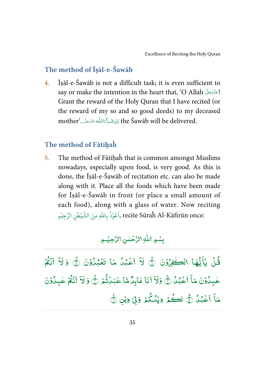#### <span id="page-40-0"></span>**The method of Ī**ṣ**āl-e-Šawāb**

4. Īṣāl-e-Šawāb is not a difficult task; it is even sufficient to say or make the intention in the heart that, 'O Allah ! Ś í Grant the reward of the Holy Quran that I have recited (or the reward of my so and so good deeds) to my deceased mother'. اِنْ شَكِآءَاللّٰه عَزَّدَمِنَا mother'. أَوَّلَّكُمَّا لِلْمَعَزَّذِينَ ī í -Ŕ í

#### **The method of Fāti**ḥ**aĥ**

5. The method of Fātihaĥ that is common amongst Muslims nowadays, especially upon food, is very good. As this is done, the Īṣāl-e-Šawāb of recitation etc. can also be made along with it. Place all the foods which have been made for Īṣāl-e-Šawāb in front (or place a small amount of each food), along with a glass of water. Now reciting ֘ pecite Sūraĥ Al-Kāfirūn once: أَعُوْذُ بِاللّٰهِ مِنَ الشَّيْطْنِ الرَّجِيْمِ ُ ا ُ ֘ ٰ  $\overline{\phantom{a}}$ 

#### بِسُمِ اللَّٰهِ الرَّحۡمٰنِ الرَّحِيۡمِ ٰ ֧֘

ۡ قُلُ - $\tilde{\cdot}$ يَاَيُّهَا انْڪْفِرُوْنَ ۞ لَآ -֧֘ - $\vec{\bm{\theta}}$ .<br>لَاّ أَعۡبُلُ مَا تَعۡبُلُوۡنَ [ ֧֘ --֦ -- $\overline{a}$ .<br>آ أَعۡبُدُ مَا تَغۡبُدُوۡنَ ⁄۞ وَ لَآ أَنۡتُمۡ ֓ -់  $\ddot{\phantom{0}}$ Í ۤ  $\vec{\bm{\theta}}$  $\overline{\phantom{a}}$ َلاَّ أَنْتُمْ غيِلُوْنَ ֧֦֘ -ٰ ۤ مَآ أَعۡبُلُّ --ؚ<br>ۣ  $\mathbf{r}$ .<br>أَعۡبُنۡ/۞ وَلاَ  $\overline{\phantom{a}}$ ۇلآ [  $\mathbf{r}$ اَنَا عَابِنَّا مَّا عَبَدُتُّهُ ﴾ وَ -֓ .<br>ب  $\overline{\phantom{a}}$  $\overline{\phantom{a}}$ َلاَ أَنْتُمْ ֘ -់  $\mathbf{I}$ اَنۡةُمۡ عٰبِكُوۡنَ ֧֘ -ٰ ۤ مَاً أَعۡبُلُ -- $\overline{a}$ .<br>آ اَعۡبُٰلُ أَيُّ اَصَٰٰهُ ۚ دِيۡنُكُمۡ وَلِيَ دِيۡنِ أَيَّ ---֓ · <u>ہ</u>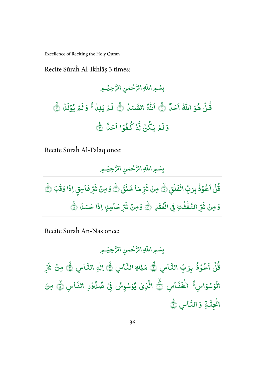Recite Sūraĥ Al-Ikhlāṣ 3 times:

.<br>بِسُـهِ اللَّٰهِ الرَّحۡمٰنِ الرَّحِيۡـهِ ٰ ֧֘

#### -قُلۡ هُوَ اللَّهُ أَحَلُّ ֧֦֧֓ -ٰ  $\ddot{\phantom{0}}$ أَحَلَّالُّ أ م<br>أَللَّٰهُ ٰ هُ الصَّمَلُ -الصَّمَدُ/۞ لَمَ لَمۡ یَلِنۡ/ۡ﴿ وَلَمۡ ֧֓ لَمۡ یُوۡلَاۡاُ ֧֓֕<sup>֓</sup>֓  $\overline{\cdot}$ يُوۡلَدۡ ۞ ֧֘ -.<br>§لَعْ لَمۡ یَکُنۡ نَّهَٰ -.<br>و 2 نَّهُ كُفُوًا أَحَلُّ -- $\mathbf{r}$ آحَدٌ ١

Recite Sūraĥ Al-Falaq once:

0 ۡ ³ ٰ h fg ( ٰ ۡ 1 ۡ 1 0

֧֦֧֝<sup>֓</sup>֓ قُلُ أَعُوُذُ --֧֦֘ -.<br>آ ٲ<mark>ٷۢۮ</mark>ؙڹؚڗڋؚ بِّ الۡفَلَقِ  $\overline{\cdot}$ الُفَلَقِ۞ مِنۡ شَرِّ ់ ،<br>تر  $\overline{\cdot}$ .<br>شرّ مَا خَلَقَ  $\overline{\phantom{a}}$ خَلَقَ ۞ وَمِنۡ ثَنَرِّ ់ ِ<br>ٽ  $\ddot{\cdot}$ .<br>شَرِّغَاسِقٍ إِذَا  $\overline{\cdot}$ إِذَا وَقَبَ وَقَبَ ١ <mark>وَ مِنْ</mark> شَرِّ ֧֘ ِ<br>ٽ  $\ddot{\cdot}$ .<br>شَرِّ النَّفِّتْتِ ٰ ٰ النَّفْتٰٰتِ فِى الْغُقَلِ⁄اُ وَمِنْ شَرِّ -់  $\overline{\cdot}$ .<br>شَرِّحَاسِ<sub>لٍ</sub> إِذَا  $\ddot{\cdot}$ إِذَا حَسَنَ إِنَّ

Recite Sūraĥ An-Nās once:

.<br>بِسُـمِ اللّٰهِ الرَّحۡمٰنِ الرَّحِيۡـمِ ٰ ؚ<br>؛

-قُلُ أَعُوُذُ ֦֧<sup>֓</sup>֧֓ - $\overline{\phantom{a}}$ - $\mathbf{r}$ أَعُوۡذُ بِرَبِّ النَّاسِ النَّاسِ/نُّے مَلِكِ النَّاسِ النَّاسِ ڷ۞ إلٰهِ النَّاسِ ٰ ا<mark>لنَّاسِ/لُ</mark>هُ مِنْ شَرِّ  $\overline{\cdot}$ » اس/ الْوَسُوَاسِ *أَأْ* اكْخَذَّاسِ  $\ddot{\phantom{0}}$ ֧֓ ja. l ا<sup>ڭ</sup>خَتّاسِ ۞ الَّذِ*ئُ* ֓ الَّذِيْ يُوَسُوِسُ يُوَسۡوِسُ فِىۡ صُلُوۡدِ النَّاسِ  $^{\bullet}$ -; ֧֦֘ --النَّاسِ ڷُی مِنَ قم اكْجِنَّةِ وَالنَّاسِ ؚ<br>ۣ النَّاس ٿُ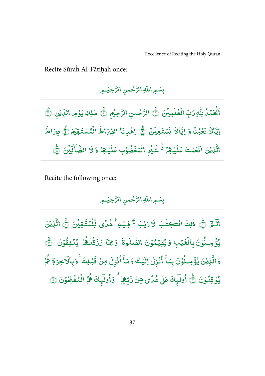Recite Sūraĥ Al-Fātiḥaĥ once:

.<br>بِسُـهِ اللَّٰهِ الرَّحۡمٰنِ الرَّحِيۡـهِ ٰ ֧֘

-ى<br>ئىقلا  $\overline{a}$ ֦֧<sup>֓</sup>֓  $\mathbf{r}$ .<br>اَنۡتَمۡدُّ لِلّٰہِ رَبِّ ٰ دَبِّ الۡغلَبِيۡنَ ؚ<br>;  $\overline{\cdot}$ الْعٰلَمِيْنَ ۞ الرَّحْمٰنِ الرَّحِيْمِ ۞ مٰلِكِ يَوْمِر اللَّذِينِ ٰ ់  $\overline{\phantom{a}}$ ;  $\overline{a}$ ֓ اللِّيْن ١ ایًّا<br>پا  $\overline{\phantom{a}}$ ب<br>باك نَعْبُلُ وَ --<u>ّ</u> ایًّا<br>ما  $\overline{\phantom{a}}$ ِ<br>اٰٖڬَ نَسۡتَعِیۡ ؚ<br>؛ نَسْتَعِيْنُ/۞ اِهۡلاِنَا -֧֓  $\overline{\cdot}$ القِرَاطَ الْمُسْتَقِيمَ/ ់ -,  $\overline{\cdot}$ جرَاطَ ֧֓<sup>֓</sup>֓ أياتي .<br>م الَّذِيْنَ أَنۡعَمُ ֧֘ ់ l<br>T أَنْعَمْتَ عَلَ عَلَيۡـُهِمۡ/ٱلۡۖ غَـٰدۡ ֓ ; ؚ<br>?  $\overline{\phantom{a}}$ خَيْرِ الْمَغْضُوْبِ ֧֓ ֦֧֦ - $\overline{\phantom{a}}$ عَلَيۡهِمۡمُ وَ ֓ ,  $\overline{\cdot}$ لَا الضَّاَ ۣ<br>الضَّأَلِّ<u>ا</u> ֧<sup>֓</sup>֓ ں<br>م يِّنَ ١

Recite the following once:

.<br>بِسُـهِ اللَّٰهِ الرَّحۡمٰنِ الرَّحِيۡـهِ ٰ ֧֘

.<br>.  $\overline{a}$ الَـمِّ (ثِّيَ ذٰلِكَ انْكِتٰبُ لَارَيْبَ/ثُمَّ فِيُـهِ/ثُمْدًى لِّلْمُتَّقِيْنَ ٰ -ٰ ֧֦֧֦֓ [ ؚ<br>; -֧<sup>֓</sup>֓ ٟ<br>ڷؚۣڵٮ*ؙڐ*۠ -֘ ֧֢֘֜ لِّلۡمُتَّقِيۡنَ/۞ الَّذِيۡنَ ֧֓<sup>֓</sup>֓ ្ត្ الَّذِيْنَ ់ يُؤْمِـنُوۡنَ بِالۡغَيۡبِ -֧֦֘ - $\overline{a}$ ់ وَ يُقِيَمُوْنَ الصَّلٰ - $\overline{a}$ ֧֘ -ٰ الصَّلُوةَ ֦ قَ وَمِمَّا وَ مِمَّا رَزَقُنْهُمْ يُنْفِقُوْنَ ۞ ٰ ֦ , --֘ ֧֦֘ -وَالَّذِي ֘ ă الَّزِيۡنَ يُؤۡمِـنُوۡنَ -៵  $\overline{\phantom{a}}$ -ۤ بِمَآ أُنُزِلَ ĺ ់  $\overline{\mathbf{1}}$ .<br>ذِلَ إِلَيْهِ  $\ddot{\phantom{0}}$ ٳڷؘؿۣڬ<u>ٷ</u> ۤ مَاً أُنُزِلَ ĺ ំ .<br>آ زِلَ مِنْ قَبۡلِك*َ* ֧֘ ֓ ֦ قَبۡلِكَا ۚ وَبِٱلۡاٰخِرَةِ هُمۡ ֘ ٰ , --يُوْ قِنُوْنَ/۞ُ أُولَيِكَ عَلَىٰ هُدًى مِّنَ رَّبِّهِمْ ֧֘ ֧֦֘ --֧֖֖֖֧֚֚֚֚֚֚֚֚֚֚֚֚֚֚֚֚֚֚֚֚֚֚֚֚֚֚֚֝֝֓֞֡֡֓֬֝֓֬֝֓֬֝֓֬֝֓֬֝֓֬֝֓֬֝֬ ٰ ļ -, % رَّبِّهِمْ ۚ وَأُولَيْكَ هُمُ الْمُفْلِحُوْنَ ۞ --- $\overline{\phantom{a}}$ -់ -់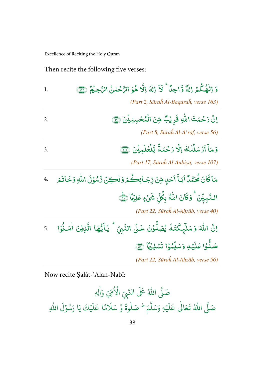Then recite the following five verses:

| 1. | وَ اِلْهُكُمۡ اِلٰهٌ وَّاحِلَّا ۚ لَآ اِلٰهَ اِلَّا هُوَ الرَّحۡمٰنُ الرَّحِیۡمُ ۚ لِنَّتَّ<br>(Part 2, Sūraĥ Al-Bagaraĥ, verse 163)                                                                       |
|----|------------------------------------------------------------------------------------------------------------------------------------------------------------------------------------------------------------|
| 2. | إنَّ رَحْمَتَ اللَّهِ قَرِيْبٌ مِّنَ الْمُحْسِنِيْنَ (ثَقَّ<br>(Part 8, Sūrah Al-A'rāf, verse 56)                                                                                                          |
| 3. | وَمَآ أَرْسَلُنكَ إِلَّا رَحْمَةً لِّلْعٰلَمِيْنَ (َ<br>(Part 17, Sūraĥ Al-Anbiyā, verse 107)                                                                                                              |
|    | مَاكَانَ مُحَمَّدٌ أَبَـاً أَحَدٍ مِّنْ رِّجَـائِكُـمْ وَلٰكِنْ رَّسُوْلَ اللّٰهِ وَخَاتَـمَ ۚ 4.<br>النَّبِيِّنَ/ وَكَانَ اللَّهُ بِكُلِّ شَيْءٍ عَلِيُّهَا لِنََّ<br>(Part 22, Sūraĥ Al-Aḥzāb, verse 40) |
|    | إنَّ اللَّهَ وَ مَلَّيٍكَتَـٰهُ يُصَلُّوُنَ عَـلَى النَّبِيّ ۚ يَـٓأَيُّهَا الَّذِيْنَ اٰمَـٰذُوْا ۚ 5.<br>صَلُّوۡا عَلَيۡهِ وَسَلِّمُوۡا تَسۡلِيۡمَا ۚ ﴾<br>(Part 22, Sūraĥ Al-Aḥzāb, verse 56)           |

Now recite Ṣalāt-'Alan-Nabī:

ي<br>آ صَلَّى اللهُ عَلَى النَّبِيِّ الْأُمِّيِّ وَ<sup>اٰلِ</sup>هٖ ا مِّيِّ وَأَلِهِ یہ<br>آ صَلَّى اللهُ تَعَالٰى عَلَيْ ٰ ֘֝ ر<br>آ عَلَيْهِ وَسَلَّمَ ي<br>آ بِ وَسَلَّمَ <sup>ط</sup> صَلٰوةً وَّ سَلَامًا عَلَيْ ٰ ؚ<br>ۣ ر<br>آ ل َ ًا ع م ر<br>آ سَلَامًا عَلَيْكَ يَا رَسُوُ ؚ<br>ؙ و  $\tilde{1}$ ِ<br>اللَّٰہِ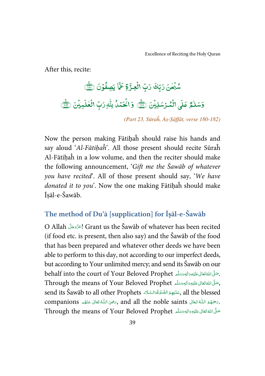<span id="page-44-0"></span>After this, recite:

#### ٰ .<br>شُبۡ<del>حٰنَ</del> رَبِّكَ رَبِّ Ó -رَبِّ الۡعِزَّةِ عَمَّا Ó مَّا يَصِفُوۡنَ ۞ ֧֦֘ -ۇسَلْمُ*رْ عَ*لَى ٰ  $\overline{\phantom{a}}$ عَلَى الْمُرْسَلِيُنَ (٢٨٣) وَالْحَمْدُ لِلّٰهِ رَبِّ Ó ֦ -; Ó Ó ٰ رَبِّ الْغٰلَ Ó ׅ֘֒ ٰ  $\overline{\phantom{a}}$  $\frac{t}{\sqrt{M}}$ لَمِيْنَ  $\frac{t}{\sqrt{M}}$ <sup>:</sup>

(Part 23, Sūraĥ, Aṣ-Ṣāffāt, verse 180-182)

Now the person making Fātiḥaĥ should raise his hands and say aloud 'Al-Fātihaĥ'. All those present should recite Sūraĥ Al-Fātiḥaĥ in a low volume, and then the reciter should make the following announcement, 'Gift me the Šawāb of whatever you have recited'. All of those present should say, 'We have donated it to you'. Now the one making Fātihah should make Īṣāl-e-Šawāb.

#### **The method of Du'ā [supplication] for Ī**ṣ**āl-e-Šawāb**

O Allah ! Grant us the Šawāb of whatever has been recited ś í (if food etc. is present, then also say) and the Šawāb of the food that has been prepared and whatever other deeds we have been able to perform to this day, not according to our imperfect deeds, but according to Your unlimited mercy; and send its Šawāb on our behalf into the court of Your Beloved Prophet حَلَّىَ الْمُقْتَعَانَى عَلَيْهِ وَالْهِمَتِيمَّر í í í ć í í Through the means of Your Beloved Prophet ,جَلَّ اللَّهُ تَعَالَى عَلَيْهِ وَالِهِ وَسَلَّمَ í í í í í ć send its Šawāb to all other Prophets حَلَيْهِمُ الصَّلْوَةُوَالسَّلَامَ send its Šawāb to all other Prophets l í ĺ ú Í í companions كَمُوْ اللَّهُ تَعَالَى and all the noble saints كَمُ تَعَالَى عَنْهُم مَنْ companions í ć í í í í í í í Through the means of Your Beloved Prophet حَلَّى اللَّهُ تَعَانَى عَلَيْهِ وَاللهِ وَسَلَّم ć í í í ć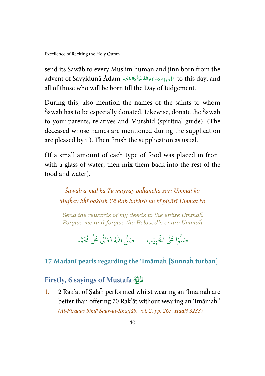<span id="page-45-0"></span>send its Šawāb to every Muslim human and jinn born from the advent of Sayyidunā Ādam عَلىْنَيِّتَادَعَلَيْهِالصَّلْوَةُدَالسَّلَاء advent of Sayyidunā Ādam Í í ĺ ć í í j í ֘֒ ć all of those who will be born till the Day of Judgement.

During this, also mention the names of the saints to whom Šawāb has to be especially donated. Likewise, donate the Šawāb to your parents, relatives and Murshid (spiritual guide). (The deceased whose names are mentioned during the supplication are pleased by it). Then finish the supplication as usual.

(If a small amount of each type of food was placed in front with a glass of water, then mix them back into the rest of the food and water).

Šawāb a'māl kā Tū mayray puĥanchā sārī Ummat ko Mujĥay bĥī bakhsh Yā Rab bakhsh un kī piyārī Ummat ko

Send the rewards of my deeds to the entire Ummaĥ Forgive me and forgive the Beloved's entire Ummaĥ

> .<br>وا عَلَى الْح ر<br>أ و<br>أ صَلُّوۡا عَلَى الْحَبِيۡبِ ۚ صَلَّى اللّٰهُ ֘ صَلَّى اللهُ تَعَالٰى عَلٰى مُحَمَّد ٰ

#### **17 Madanī pearls regarding the 'Imāmaĥ [Sunnaĥ turban]**

#### **Firstly, 6 sayings of Mustafa**

1. 2 Rak'āt of Ṣalāĥ performed whilst wearing an 'Imāmaĥ are better than offering 70 Rak'āt without wearing an 'Imāmaĥ.' (Al-Firdaus bimā Šaur-ul-Khaṭṭāb, vol. 2, pp. 265, Ḥadīš 3233)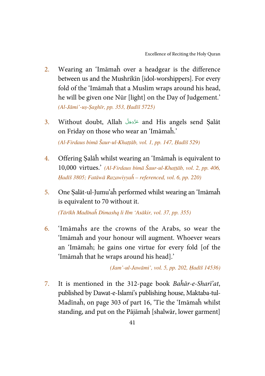- 2. Wearing an 'Imāmaĥ over a headgear is the difference between us and the Mushrikīn [idol-worshippers]. For every fold of the 'Imāmaĥ that a Muslim wraps around his head, he will be given one Nūr [light] on the Day of Judgement.' (Al-Jāmi'-uṣ-Ṣaghīr, pp. 353, Ḥadīš 5725)
- 3. Without doubt, Allah عَرَّدَهَلَ and His angels send Salāt ś í on Friday on those who wear an 'Imāmaĥ.'

(Al-Firdaus bimā Šaur-ul-Khaṭṭāb, vol. 1, pp. 147, Ḥadīš 529)

- 4. Offering Ṣalāĥ whilst wearing an 'Imāmaĥ is equivalent to 10,000 virtues.' (Al-Firdaus bimā Šaur-ul-Khaṭṭāb, vol. 2, pp. 406, Ḥadīš 3805; Fatāwā Razawiyyaĥ – referenced, vol. 6, pp. 220)
- 5. One Ṣalāt-ul-Jumu'aĥ performed whilst wearing an 'Imāmaĥ is equivalent to 70 without it.

(Tārīkh Madīnaĥ Dimashq li Ibn 'Asākir, vol. 37, pp. 355)

6. 'Imāmaĥs are the crowns of the Arabs, so wear the 'Imāmaĥ and your honour will augment. Whoever wears an 'Imāmaĥ; he gains one virtue for every fold [of the 'Imāmaĥ that he wraps around his head].'

(Jam'-ul-Jawāmi', vol. 5, pp. 202, Ḥadīš 14536)

7. It is mentioned in the 312-page book Baĥār-e-Sharī'at, published by Dawat-e-Islami's publishing house, Maktaba-tul-Madīnaĥ, on page 303 of part 16, 'Tie the 'Imāmaĥ whilst standing, and put on the Pājāmaĥ [shalwār, lower garment]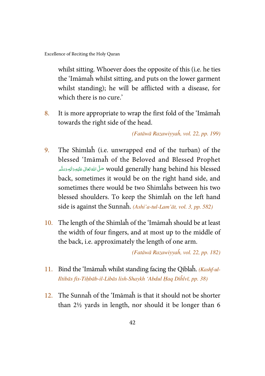whilst sitting. Whoever does the opposite of this (i.e. he ties the 'Imāmaĥ whilst sitting, and puts on the lower garment whilst standing); he will be afflicted with a disease, for which there is no cure.'

8. It is more appropriate to wrap the first fold of the 'Imāmaĥ towards the right side of the head.

(Fatāwā Razawiyyaĥ, vol. 22, pp. 199)

- 9. The Shimlaĥ (i.e. unwrapped end of the turban) of the blessed 'Imāmaĥ of the Beloved and Blessed Prophet ة would generally hang behind his blessed صَلَّى اللَّهُ تَعَالَى عَلَيْهِ وَالِهٖ وَسَلَّم í í í ć í í back, sometimes it would be on the right hand side, and sometimes there would be two Shimlaĥs between his two blessed shoulders. To keep the Shimlaĥ on the left hand side is against the Sunnaĥ. (Ashi'a-tul-Lam'āt, vol. 3, pp. 582)
- 10. The length of the Shimlaĥ of the 'Imāmaĥ should be at least the width of four fingers, and at most up to the middle of the back, i.e. approximately the length of one arm.

(Fatāwā Razawiyyaĥ, vol. 22, pp. 182)

- 11. Bind the 'Imāmaĥ whilst standing facing the Qiblaĥ.  $(Kashful$ -Iltibās fis-Tiḥbāb-il-Libās lish-Shaykh 'Abdul Ḥaq Diĥlvī, pp. 38)
- 12. The Sunnaĥ of the 'Imāmaĥ is that it should not be shorter than 2½ yards in length, nor should it be longer than 6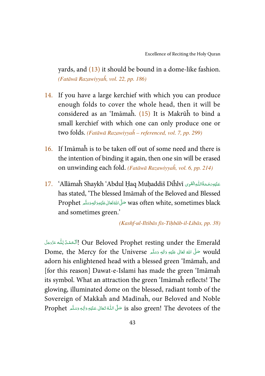yards, and (13) it should be bound in a dome-like fashion. (Fatāwā Razawiyyaĥ, vol. 22, pp. 186)

- 14. If you have a large kerchief with which you can produce enough folds to cover the whole head, then it will be considered as an 'Imāmaĥ. (15) It is Makrūĥ to bind a small kerchief with which one can only produce one or two folds. (Fatāwā Razawiyyaĥ – referenced, vol. 7, pp. 299)
- 16. If Imāmaĥ is to be taken off out of some need and there is the intention of binding it again, then one sin will be erased on unwinding each fold. (Fatāwā Razawiyyaĥ, vol. 6, pp. 214)
- عَلَيْهِ رَحْمَةُاللُّهِ الْقَوِى Allāmaĥ Shaykh 'Abdul Ḥaq Muḥaddiš Diĥlvī'. 'Allāmaĥ Shaykh ' í í has stated, 'The blessed Imāmaĥ of the Beloved and Blessed Prophet حَلَّى اللَّهَ تَعَالى عَلَيْهِ وَاللهِ وَسَلَّم Prophet í í ć í í í and sometimes green.'

(Kashf-ul-Iltibās fis-Tiḥbāb-il-Libās, pp. 38)

اَلْحَمْدُلِلُّه عَزَّدَمَّلَ Our Beloved Prophet resting under the Emerald j Ĺ -Í Ş í Dome, the Mercy for the Universe حَلَّى اللهُ تَعَالى عَلَيْهِ وَالِهٖ وَسَلَّمَ Dome, the Mercy for the Universe í ć í í í í adorn his enlightened head with a blessed green 'Imāmaĥ, and [for this reason] Dawat-e-Islami has made the green 'Imāmaĥ its symbol. What an attraction the green 'Imāmaĥ reflects! The glowing, illuminated dome on the blessed, radiant tomb of the Sovereign of Makkaĥ and Madīnaĥ, our Beloved and Noble Prophet حَلَّى اللَّهُ تَعَالَى عَلَيْهِ وَالِهٖ وَسَلَّم Prophet ŕ í í í -֘֒ í í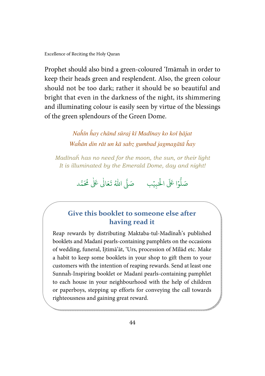Prophet should also bind a green-coloured 'Imāmaĥ in order to keep their heads green and resplendent. Also, the green colour should not be too dark; rather it should be so beautiful and bright that even in the darkness of the night, its shimmering and illuminating colour is easily seen by virtue of the blessings of the green splendours of the Green Dome.

> Naĥīn ĥay chānd sūraj kī Madīnay ko koī ḥājat Waĥān din rāt un kā sabz gumbad jagmagātā ĥay

Madīnaĥ has no need for the moon, the sun, or their light It is illuminated by the Emerald Dome, day and night!

> .<br>وا عَلَى الْح ہ<br>ا و<br>أ صَلُّوۡا عَلَى الْحَبِيۡبِ ۚ صَلَّى اللّٰهُ ֘ صَلَّى اللهُ تَعَالٰى عَلٰى مُحَمَّد ٰ

#### Give this booklet to someone else after having read it

Reap rewards by distributing Maktaba-tul-Madīnaĥ's published booklets and Madanī pearls-containing pamphlets on the occasions of wedding, funeral, Ijtimā'āt, 'Urs, procession of Mīlād etc. Make a habit to keep some booklets in your shop to gift them to your customers with the intention of reaping rewards. Send at least one Sunnaĥ-Inspiring booklet or Madanī pearls-containing pamphlet to each house in your neighbourhood with the help of children or paperboys, stepping up efforts for conveying the call towards righteousness and gaining great reward.